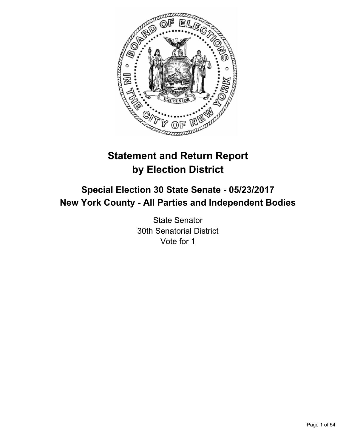

# **Statement and Return Report by Election District**

# **Special Election 30 State Senate - 05/23/2017 New York County - All Parties and Independent Bodies**

State Senator 30th Senatorial District Vote for 1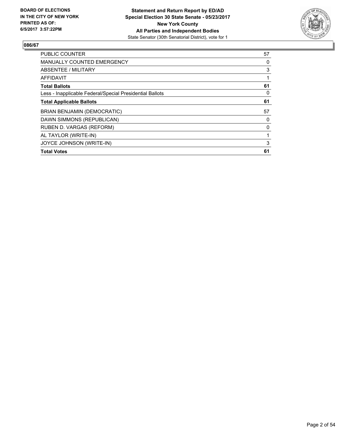

| <b>PUBLIC COUNTER</b>                                    | 57 |
|----------------------------------------------------------|----|
| <b>MANUALLY COUNTED EMERGENCY</b>                        | 0  |
| ABSENTEE / MILITARY                                      | 3  |
| <b>AFFIDAVIT</b>                                         |    |
| <b>Total Ballots</b>                                     | 61 |
| Less - Inapplicable Federal/Special Presidential Ballots | 0  |
| <b>Total Applicable Ballots</b>                          | 61 |
| <b>BRIAN BENJAMIN (DEMOCRATIC)</b>                       | 57 |
| DAWN SIMMONS (REPUBLICAN)                                | 0  |
| RUBEN D. VARGAS (REFORM)                                 | 0  |
| AL TAYLOR (WRITE-IN)                                     |    |
| JOYCE JOHNSON (WRITE-IN)                                 | 3  |
| <b>Total Votes</b>                                       | 61 |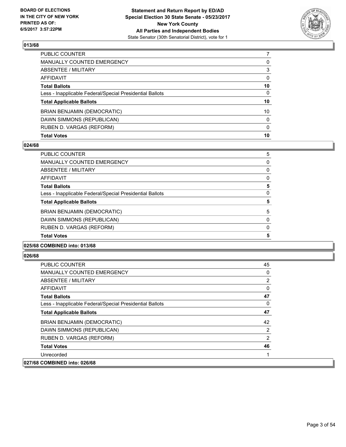

| PUBLIC COUNTER                                           |              |
|----------------------------------------------------------|--------------|
| <b>MANUALLY COUNTED EMERGENCY</b>                        | 0            |
| ABSENTEE / MILITARY                                      | 3            |
| AFFIDAVIT                                                | $\Omega$     |
| <b>Total Ballots</b>                                     | 10           |
| Less - Inapplicable Federal/Special Presidential Ballots | $\mathbf{0}$ |
| <b>Total Applicable Ballots</b>                          | 10           |
| BRIAN BENJAMIN (DEMOCRATIC)                              | 10           |
| DAWN SIMMONS (REPUBLICAN)                                | $\mathbf{0}$ |
| RUBEN D. VARGAS (REFORM)                                 | $\mathbf{0}$ |
| <b>Total Votes</b>                                       | 10           |

# **024/68**

| <b>Total Votes</b>                                       | 5 |
|----------------------------------------------------------|---|
| RUBEN D. VARGAS (REFORM)                                 | 0 |
| DAWN SIMMONS (REPUBLICAN)                                | 0 |
| <b>BRIAN BENJAMIN (DEMOCRATIC)</b>                       | 5 |
| <b>Total Applicable Ballots</b>                          | 5 |
| Less - Inapplicable Federal/Special Presidential Ballots | 0 |
| <b>Total Ballots</b>                                     | 5 |
| <b>AFFIDAVIT</b>                                         | 0 |
| ABSENTEE / MILITARY                                      | 0 |
| MANUALLY COUNTED EMERGENCY                               | 0 |
| <b>PUBLIC COUNTER</b>                                    | 5 |

### **025/68 COMBINED into: 013/68**

| <b>PUBLIC COUNTER</b>                                    | 45           |
|----------------------------------------------------------|--------------|
| <b>MANUALLY COUNTED EMERGENCY</b>                        | $\mathbf{0}$ |
| ABSENTEE / MILITARY                                      | 2            |
| AFFIDAVIT                                                | 0            |
| <b>Total Ballots</b>                                     | 47           |
| Less - Inapplicable Federal/Special Presidential Ballots | $\Omega$     |
| <b>Total Applicable Ballots</b>                          | 47           |
| <b>BRIAN BENJAMIN (DEMOCRATIC)</b>                       | 42           |
| DAWN SIMMONS (REPUBLICAN)                                | 2            |
| RUBEN D. VARGAS (REFORM)                                 | 2            |
| <b>Total Votes</b>                                       | 46           |
| Unrecorded                                               |              |
| 027/68 COMBINED into: 026/68                             |              |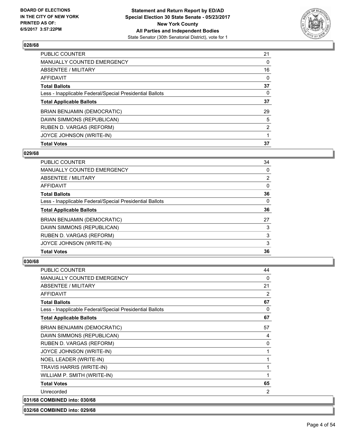

| <b>PUBLIC COUNTER</b>                                    | 21             |
|----------------------------------------------------------|----------------|
| <b>MANUALLY COUNTED EMERGENCY</b>                        | 0              |
| ABSENTEE / MILITARY                                      | 16             |
| <b>AFFIDAVIT</b>                                         | 0              |
| <b>Total Ballots</b>                                     | 37             |
| Less - Inapplicable Federal/Special Presidential Ballots | 0              |
| <b>Total Applicable Ballots</b>                          | 37             |
| <b>BRIAN BENJAMIN (DEMOCRATIC)</b>                       | 29             |
| DAWN SIMMONS (REPUBLICAN)                                | 5              |
| RUBEN D. VARGAS (REFORM)                                 | $\overline{2}$ |
| JOYCE JOHNSON (WRITE-IN)                                 |                |
| <b>Total Votes</b>                                       | 37             |

### **029/68**

| <b>PUBLIC COUNTER</b>                                    | 34             |
|----------------------------------------------------------|----------------|
| <b>MANUALLY COUNTED EMERGENCY</b>                        | 0              |
| ABSENTEE / MILITARY                                      | $\overline{2}$ |
| AFFIDAVIT                                                | 0              |
| <b>Total Ballots</b>                                     | 36             |
| Less - Inapplicable Federal/Special Presidential Ballots | 0              |
| <b>Total Applicable Ballots</b>                          | 36             |
| <b>BRIAN BENJAMIN (DEMOCRATIC)</b>                       | 27             |
| DAWN SIMMONS (REPUBLICAN)                                | 3              |
| RUBEN D. VARGAS (REFORM)                                 | 3              |
| JOYCE JOHNSON (WRITE-IN)                                 | 3              |
| <b>Total Votes</b>                                       | 36             |

# **030/68**

| <b>PUBLIC COUNTER</b>                                    | 44 |
|----------------------------------------------------------|----|
| <b>MANUALLY COUNTED EMERGENCY</b>                        | 0  |
| <b>ABSENTEE / MILITARY</b>                               | 21 |
| <b>AFFIDAVIT</b>                                         | 2  |
| <b>Total Ballots</b>                                     | 67 |
| Less - Inapplicable Federal/Special Presidential Ballots | 0  |
| <b>Total Applicable Ballots</b>                          | 67 |
| <b>BRIAN BENJAMIN (DEMOCRATIC)</b>                       | 57 |
| DAWN SIMMONS (REPUBLICAN)                                | 4  |
| RUBEN D. VARGAS (REFORM)                                 | 0  |
| JOYCE JOHNSON (WRITE-IN)                                 | 1  |
| NOEL LEADER (WRITE-IN)                                   | 1  |
| TRAVIS HARRIS (WRITE-IN)                                 | 1  |
| WILLIAM P. SMITH (WRITE-IN)                              | 1  |
| <b>Total Votes</b>                                       | 65 |
| Unrecorded                                               | 2  |
| 031/68 COMBINED into: 030/68                             |    |

**032/68 COMBINED into: 029/68**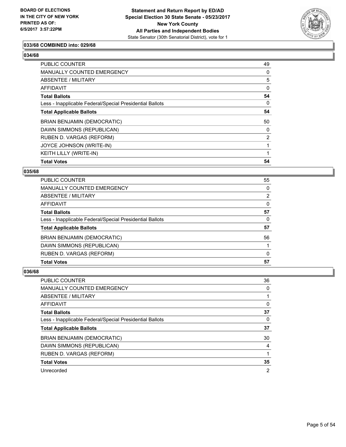

# **033/68 COMBINED into: 029/68**

#### **034/68**

| <b>PUBLIC COUNTER</b>                                    | 49             |
|----------------------------------------------------------|----------------|
| <b>MANUALLY COUNTED EMERGENCY</b>                        | 0              |
| ABSENTEE / MILITARY                                      | 5              |
| AFFIDAVIT                                                | 0              |
| <b>Total Ballots</b>                                     | 54             |
| Less - Inapplicable Federal/Special Presidential Ballots | 0              |
| <b>Total Applicable Ballots</b>                          | 54             |
| <b>BRIAN BENJAMIN (DEMOCRATIC)</b>                       | 50             |
| DAWN SIMMONS (REPUBLICAN)                                | 0              |
| RUBEN D. VARGAS (REFORM)                                 | $\overline{2}$ |
| JOYCE JOHNSON (WRITE-IN)                                 |                |
| <b>KEITH LILLY (WRITE-IN)</b>                            |                |
| <b>Total Votes</b>                                       | 54             |

### **035/68**

| <b>Total Votes</b>                                       | 57       |
|----------------------------------------------------------|----------|
| RUBEN D. VARGAS (REFORM)                                 | 0        |
| DAWN SIMMONS (REPUBLICAN)                                |          |
| BRIAN BENJAMIN (DEMOCRATIC)                              | 56       |
| <b>Total Applicable Ballots</b>                          | 57       |
| Less - Inapplicable Federal/Special Presidential Ballots | 0        |
| <b>Total Ballots</b>                                     | 57       |
| <b>AFFIDAVIT</b>                                         | $\Omega$ |
| ABSENTEE / MILITARY                                      | 2        |
| MANUALLY COUNTED EMERGENCY                               | 0        |
| <b>PUBLIC COUNTER</b>                                    | 55       |

| <b>PUBLIC COUNTER</b>                                    | 36 |
|----------------------------------------------------------|----|
| <b>MANUALLY COUNTED EMERGENCY</b>                        | 0  |
| ABSENTEE / MILITARY                                      |    |
| AFFIDAVIT                                                | 0  |
| <b>Total Ballots</b>                                     | 37 |
| Less - Inapplicable Federal/Special Presidential Ballots | 0  |
| <b>Total Applicable Ballots</b>                          | 37 |
| BRIAN BENJAMIN (DEMOCRATIC)                              | 30 |
| DAWN SIMMONS (REPUBLICAN)                                | 4  |
| RUBEN D. VARGAS (REFORM)                                 |    |
| <b>Total Votes</b>                                       | 35 |
| Unrecorded                                               | 2  |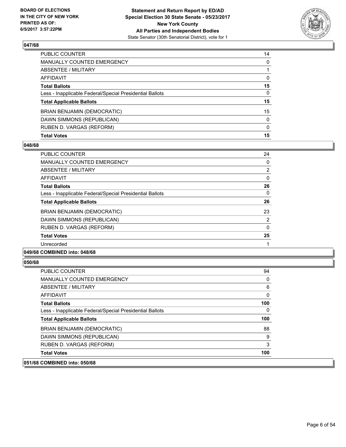

| BRIAN BENJAMIN (DEMOCRATIC)                              | 15           |
|----------------------------------------------------------|--------------|
|                                                          |              |
| <b>Total Applicable Ballots</b>                          | 15           |
| Less - Inapplicable Federal/Special Presidential Ballots | $\mathbf{0}$ |
| <b>Total Ballots</b>                                     | 15           |
| <b>AFFIDAVIT</b>                                         | 0            |
| ABSENTEE / MILITARY                                      |              |
| <b>MANUALLY COUNTED EMERGENCY</b>                        | 0            |
| PUBLIC COUNTER                                           | 14           |

# **048/68**

| <b>PUBLIC COUNTER</b>                                    | 24             |
|----------------------------------------------------------|----------------|
| <b>MANUALLY COUNTED EMERGENCY</b>                        | 0              |
| ABSENTEE / MILITARY                                      | $\overline{2}$ |
| AFFIDAVIT                                                | 0              |
| <b>Total Ballots</b>                                     | 26             |
| Less - Inapplicable Federal/Special Presidential Ballots | 0              |
| <b>Total Applicable Ballots</b>                          | 26             |
| <b>BRIAN BENJAMIN (DEMOCRATIC)</b>                       | 23             |
| DAWN SIMMONS (REPUBLICAN)                                | $\overline{2}$ |
| RUBEN D. VARGAS (REFORM)                                 | $\Omega$       |
| <b>Total Votes</b>                                       | 25             |
| Unrecorded                                               |                |
|                                                          |                |

# **049/68 COMBINED into: 048/68**

| <b>PUBLIC COUNTER</b>                                    | 94           |
|----------------------------------------------------------|--------------|
| <b>MANUALLY COUNTED EMERGENCY</b>                        | 0            |
| ABSENTEE / MILITARY                                      | 6            |
| AFFIDAVIT                                                | $\mathbf{0}$ |
| <b>Total Ballots</b>                                     | 100          |
| Less - Inapplicable Federal/Special Presidential Ballots | 0            |
| <b>Total Applicable Ballots</b>                          | 100          |
| <b>BRIAN BENJAMIN (DEMOCRATIC)</b>                       | 88           |
| DAWN SIMMONS (REPUBLICAN)                                | 9            |
| RUBEN D. VARGAS (REFORM)                                 | 3            |
| <b>Total Votes</b>                                       | 100          |
| 051/68 COMBINED into: 050/68                             |              |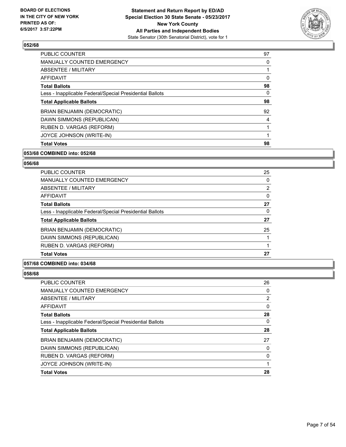

| <b>PUBLIC COUNTER</b>                                    | 97 |
|----------------------------------------------------------|----|
| <b>MANUALLY COUNTED EMERGENCY</b>                        | 0  |
| ABSENTEE / MILITARY                                      |    |
| <b>AFFIDAVIT</b>                                         | 0  |
| <b>Total Ballots</b>                                     | 98 |
| Less - Inapplicable Federal/Special Presidential Ballots | 0  |
| <b>Total Applicable Ballots</b>                          | 98 |
| <b>BRIAN BENJAMIN (DEMOCRATIC)</b>                       | 92 |
| DAWN SIMMONS (REPUBLICAN)                                | 4  |
| RUBEN D. VARGAS (REFORM)                                 |    |
| JOYCE JOHNSON (WRITE-IN)                                 |    |
| <b>Total Votes</b>                                       | 98 |

# **053/68 COMBINED into: 052/68**

# **056/68**

| <b>PUBLIC COUNTER</b>                                    | 25 |
|----------------------------------------------------------|----|
| <b>MANUALLY COUNTED EMERGENCY</b>                        | 0  |
| ABSENTEE / MILITARY                                      | 2  |
| <b>AFFIDAVIT</b>                                         | 0  |
| <b>Total Ballots</b>                                     | 27 |
| Less - Inapplicable Federal/Special Presidential Ballots | 0  |
| <b>Total Applicable Ballots</b>                          | 27 |
| <b>BRIAN BENJAMIN (DEMOCRATIC)</b>                       | 25 |
| DAWN SIMMONS (REPUBLICAN)                                |    |
| RUBEN D. VARGAS (REFORM)                                 |    |
| <b>Total Votes</b>                                       | 27 |
|                                                          |    |

### **057/68 COMBINED into: 034/68**

| <b>PUBLIC COUNTER</b>                                    | 26 |
|----------------------------------------------------------|----|
| MANUALLY COUNTED EMERGENCY                               | 0  |
| <b>ABSENTEE / MILITARY</b>                               | 2  |
| AFFIDAVIT                                                | 0  |
| <b>Total Ballots</b>                                     | 28 |
| Less - Inapplicable Federal/Special Presidential Ballots | 0  |
| <b>Total Applicable Ballots</b>                          | 28 |
| <b>BRIAN BENJAMIN (DEMOCRATIC)</b>                       | 27 |
| DAWN SIMMONS (REPUBLICAN)                                | 0  |
| RUBEN D. VARGAS (REFORM)                                 | 0  |
| JOYCE JOHNSON (WRITE-IN)                                 |    |
| <b>Total Votes</b>                                       | 28 |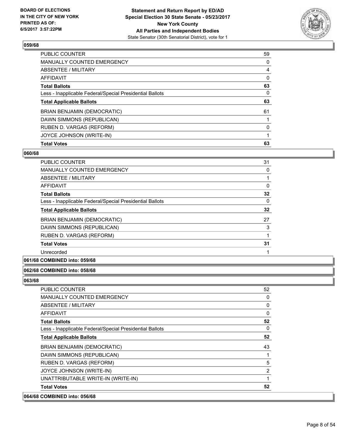

| PUBLIC COUNTER                                           | 59 |
|----------------------------------------------------------|----|
| <b>MANUALLY COUNTED EMERGENCY</b>                        | 0  |
| ABSENTEE / MILITARY                                      | 4  |
| AFFIDAVIT                                                | 0  |
| <b>Total Ballots</b>                                     | 63 |
| Less - Inapplicable Federal/Special Presidential Ballots | 0  |
| <b>Total Applicable Ballots</b>                          | 63 |
| <b>BRIAN BENJAMIN (DEMOCRATIC)</b>                       | 61 |
| DAWN SIMMONS (REPUBLICAN)                                |    |
| RUBEN D. VARGAS (REFORM)                                 | 0  |
| JOYCE JOHNSON (WRITE-IN)                                 |    |
| <b>Total Votes</b>                                       | 63 |

### **060/68**

| PUBLIC COUNTER                                           | 31 |
|----------------------------------------------------------|----|
| <b>MANUALLY COUNTED EMERGENCY</b>                        | 0  |
| ABSENTEE / MILITARY                                      |    |
| <b>AFFIDAVIT</b>                                         | 0  |
| <b>Total Ballots</b>                                     | 32 |
| Less - Inapplicable Federal/Special Presidential Ballots | 0  |
| <b>Total Applicable Ballots</b>                          | 32 |
| BRIAN BENJAMIN (DEMOCRATIC)                              | 27 |
| DAWN SIMMONS (REPUBLICAN)                                | 3  |
| RUBEN D. VARGAS (REFORM)                                 |    |
| <b>Total Votes</b>                                       | 31 |
| Unrecorded                                               |    |
|                                                          |    |

# **061/68 COMBINED into: 059/68**

# **062/68 COMBINED into: 058/68**

| 064/68 COMBINED into: 056/68                             |    |
|----------------------------------------------------------|----|
| <b>Total Votes</b>                                       | 52 |
| UNATTRIBUTABLE WRITE-IN (WRITE-IN)                       | 1  |
| JOYCE JOHNSON (WRITE-IN)                                 | 2  |
| RUBEN D. VARGAS (REFORM)                                 | 5  |
| DAWN SIMMONS (REPUBLICAN)                                |    |
| <b>BRIAN BENJAMIN (DEMOCRATIC)</b>                       | 43 |
| <b>Total Applicable Ballots</b>                          | 52 |
| Less - Inapplicable Federal/Special Presidential Ballots | 0  |
| <b>Total Ballots</b>                                     | 52 |
| AFFIDAVIT                                                | 0  |
| <b>ABSENTEE / MILITARY</b>                               | 0  |
| <b>MANUALLY COUNTED EMERGENCY</b>                        | 0  |
| <b>PUBLIC COUNTER</b>                                    | 52 |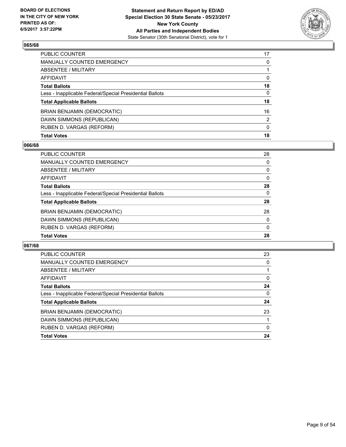

| <b>Total Votes</b>                                       | 18           |
|----------------------------------------------------------|--------------|
| RUBEN D. VARGAS (REFORM)                                 | $\mathbf{0}$ |
| DAWN SIMMONS (REPUBLICAN)                                | 2            |
| BRIAN BENJAMIN (DEMOCRATIC)                              | 16           |
| <b>Total Applicable Ballots</b>                          | 18           |
| Less - Inapplicable Federal/Special Presidential Ballots | 0            |
| <b>Total Ballots</b>                                     | 18           |
| <b>AFFIDAVIT</b>                                         | 0            |
| ABSENTEE / MILITARY                                      |              |
| <b>MANUALLY COUNTED EMERGENCY</b>                        | 0            |
| <b>PUBLIC COUNTER</b>                                    | 17           |

# **066/68**

| PUBLIC COUNTER                                           | 28       |
|----------------------------------------------------------|----------|
| MANUALLY COUNTED EMERGENCY                               | 0        |
| ABSENTEE / MILITARY                                      | 0        |
| AFFIDAVIT                                                | 0        |
| <b>Total Ballots</b>                                     | 28       |
| Less - Inapplicable Federal/Special Presidential Ballots | $\Omega$ |
| <b>Total Applicable Ballots</b>                          | 28       |
| <b>BRIAN BENJAMIN (DEMOCRATIC)</b>                       | 28       |
| DAWN SIMMONS (REPUBLICAN)                                | 0        |
| RUBEN D. VARGAS (REFORM)                                 | 0        |
| <b>Total Votes</b>                                       | 28       |
|                                                          |          |

| <b>PUBLIC COUNTER</b>                                    | 23 |
|----------------------------------------------------------|----|
| <b>MANUALLY COUNTED EMERGENCY</b>                        | 0  |
| ABSENTEE / MILITARY                                      |    |
| AFFIDAVIT                                                | 0  |
| <b>Total Ballots</b>                                     | 24 |
| Less - Inapplicable Federal/Special Presidential Ballots | 0  |
| <b>Total Applicable Ballots</b>                          | 24 |
| <b>BRIAN BENJAMIN (DEMOCRATIC)</b>                       | 23 |
| DAWN SIMMONS (REPUBLICAN)                                |    |
| RUBEN D. VARGAS (REFORM)                                 | 0  |
| <b>Total Votes</b>                                       | 24 |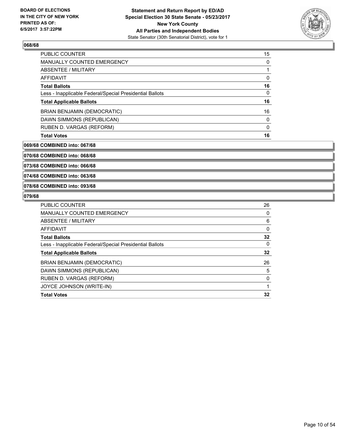

| <b>Total Votes</b>                                       | 16 |
|----------------------------------------------------------|----|
| RUBEN D. VARGAS (REFORM)                                 | 0  |
| DAWN SIMMONS (REPUBLICAN)                                | 0  |
| <b>BRIAN BENJAMIN (DEMOCRATIC)</b>                       | 16 |
| <b>Total Applicable Ballots</b>                          | 16 |
| Less - Inapplicable Federal/Special Presidential Ballots | 0  |
| <b>Total Ballots</b>                                     | 16 |
| AFFIDAVIT                                                | 0  |
| ABSENTEE / MILITARY                                      |    |
| <b>MANUALLY COUNTED EMERGENCY</b>                        | 0  |
| <b>PUBLIC COUNTER</b>                                    | 15 |

#### **069/68 COMBINED into: 067/68**

**070/68 COMBINED into: 068/68**

**073/68 COMBINED into: 066/68**

**074/68 COMBINED into: 063/68**

### **078/68 COMBINED into: 093/68**

| <b>PUBLIC COUNTER</b>                                    | 26           |
|----------------------------------------------------------|--------------|
| <b>MANUALLY COUNTED EMERGENCY</b>                        | 0            |
| ABSENTEE / MILITARY                                      | 6            |
| <b>AFFIDAVIT</b>                                         | $\mathbf{0}$ |
| <b>Total Ballots</b>                                     | 32           |
| Less - Inapplicable Federal/Special Presidential Ballots | 0            |
| <b>Total Applicable Ballots</b>                          | 32           |
| <b>BRIAN BENJAMIN (DEMOCRATIC)</b>                       | 26           |
| DAWN SIMMONS (REPUBLICAN)                                | 5            |
| RUBEN D. VARGAS (REFORM)                                 | 0            |
| JOYCE JOHNSON (WRITE-IN)                                 |              |
| <b>Total Votes</b>                                       | 32           |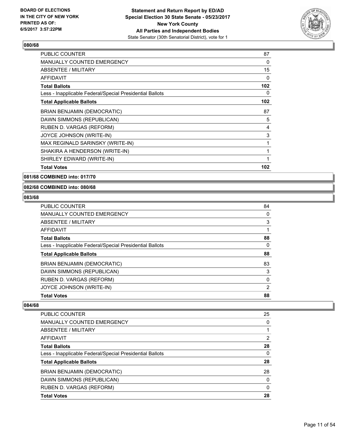

| PUBLIC COUNTER                                           | 87  |
|----------------------------------------------------------|-----|
| <b>MANUALLY COUNTED EMERGENCY</b>                        | 0   |
| <b>ABSENTEE / MILITARY</b>                               | 15  |
| <b>AFFIDAVIT</b>                                         | 0   |
| <b>Total Ballots</b>                                     | 102 |
| Less - Inapplicable Federal/Special Presidential Ballots | 0   |
| <b>Total Applicable Ballots</b>                          | 102 |
| <b>BRIAN BENJAMIN (DEMOCRATIC)</b>                       | 87  |
| DAWN SIMMONS (REPUBLICAN)                                | 5   |
| RUBEN D. VARGAS (REFORM)                                 | 4   |
| JOYCE JOHNSON (WRITE-IN)                                 | 3   |
| MAX REGINALD SARINSKY (WRITE-IN)                         | 1   |
| SHAKIRA A HENDERSON (WRITE-IN)                           | 1   |
| SHIRLEY EDWARD (WRITE-IN)                                | 1   |
| <b>Total Votes</b>                                       | 102 |

**081/68 COMBINED into: 017/70**

# **082/68 COMBINED into: 080/68**

### **083/68**

| PUBLIC COUNTER                                           | 84 |
|----------------------------------------------------------|----|
| <b>MANUALLY COUNTED EMERGENCY</b>                        | 0  |
| <b>ABSENTEE / MILITARY</b>                               | 3  |
| AFFIDAVIT                                                |    |
| <b>Total Ballots</b>                                     | 88 |
| Less - Inapplicable Federal/Special Presidential Ballots | 0  |
| <b>Total Applicable Ballots</b>                          | 88 |
| <b>BRIAN BENJAMIN (DEMOCRATIC)</b>                       | 83 |
| DAWN SIMMONS (REPUBLICAN)                                | 3  |
| RUBEN D. VARGAS (REFORM)                                 | 0  |
| JOYCE JOHNSON (WRITE-IN)                                 | 2  |
| <b>Total Votes</b>                                       | 88 |

| <b>PUBLIC COUNTER</b>                                    | 25             |
|----------------------------------------------------------|----------------|
| <b>MANUALLY COUNTED EMERGENCY</b>                        | 0              |
| ABSENTEE / MILITARY                                      |                |
| AFFIDAVIT                                                | $\overline{2}$ |
| <b>Total Ballots</b>                                     | 28             |
| Less - Inapplicable Federal/Special Presidential Ballots | 0              |
| <b>Total Applicable Ballots</b>                          | 28             |
| <b>BRIAN BENJAMIN (DEMOCRATIC)</b>                       | 28             |
| DAWN SIMMONS (REPUBLICAN)                                | 0              |
| RUBEN D. VARGAS (REFORM)                                 | 0              |
| <b>Total Votes</b>                                       | 28             |
|                                                          |                |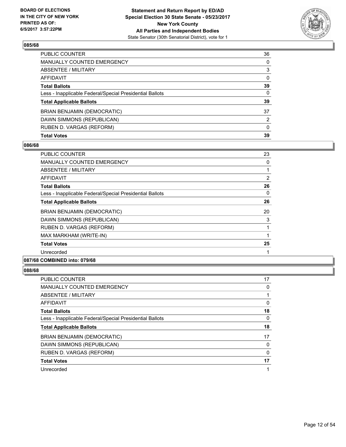

| <b>Total Votes</b>                                       | 39           |
|----------------------------------------------------------|--------------|
| RUBEN D. VARGAS (REFORM)                                 | $\mathbf{0}$ |
| DAWN SIMMONS (REPUBLICAN)                                | 2            |
| BRIAN BENJAMIN (DEMOCRATIC)                              | 37           |
| <b>Total Applicable Ballots</b>                          | 39           |
| Less - Inapplicable Federal/Special Presidential Ballots | $\mathbf{0}$ |
| <b>Total Ballots</b>                                     | 39           |
| AFFIDAVIT                                                | $\Omega$     |
| <b>ABSENTEE / MILITARY</b>                               | 3            |
| <b>MANUALLY COUNTED EMERGENCY</b>                        | 0            |
| PUBLIC COUNTER                                           | 36           |

# **086/68**

| <b>PUBLIC COUNTER</b>                                    | 23 |
|----------------------------------------------------------|----|
| <b>MANUALLY COUNTED EMERGENCY</b>                        | 0  |
| <b>ABSENTEE / MILITARY</b>                               | 1  |
| AFFIDAVIT                                                | 2  |
| <b>Total Ballots</b>                                     | 26 |
| Less - Inapplicable Federal/Special Presidential Ballots | 0  |
| <b>Total Applicable Ballots</b>                          | 26 |
| <b>BRIAN BENJAMIN (DEMOCRATIC)</b>                       | 20 |
| DAWN SIMMONS (REPUBLICAN)                                | 3  |
| RUBEN D. VARGAS (REFORM)                                 |    |
| MAX MARKHAM (WRITE-IN)                                   |    |
| <b>Total Votes</b>                                       | 25 |
| Unrecorded                                               |    |
| 087/68 COMBINED into: 079/68                             |    |

| <b>PUBLIC COUNTER</b>                                    | 17 |
|----------------------------------------------------------|----|
| MANUALLY COUNTED EMERGENCY                               | 0  |
| ABSENTEE / MILITARY                                      |    |
| AFFIDAVIT                                                | 0  |
| <b>Total Ballots</b>                                     | 18 |
| Less - Inapplicable Federal/Special Presidential Ballots | 0  |
| <b>Total Applicable Ballots</b>                          | 18 |
| BRIAN BENJAMIN (DEMOCRATIC)                              | 17 |
| DAWN SIMMONS (REPUBLICAN)                                | 0  |
| RUBEN D. VARGAS (REFORM)                                 | 0  |
| <b>Total Votes</b>                                       | 17 |
| Unrecorded                                               | 1  |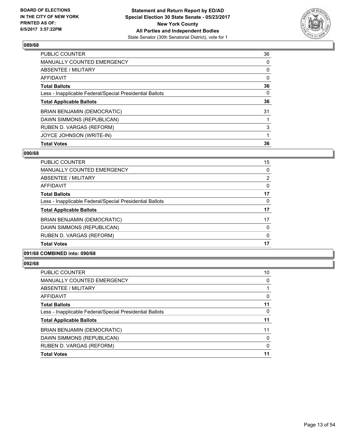

| <b>PUBLIC COUNTER</b>                                    | 36 |
|----------------------------------------------------------|----|
| <b>MANUALLY COUNTED EMERGENCY</b>                        | 0  |
| ABSENTEE / MILITARY                                      | 0  |
| AFFIDAVIT                                                | 0  |
| <b>Total Ballots</b>                                     | 36 |
| Less - Inapplicable Federal/Special Presidential Ballots | 0  |
| <b>Total Applicable Ballots</b>                          | 36 |
| <b>BRIAN BENJAMIN (DEMOCRATIC)</b>                       | 31 |
| DAWN SIMMONS (REPUBLICAN)                                |    |
| RUBEN D. VARGAS (REFORM)                                 | 3  |
| JOYCE JOHNSON (WRITE-IN)                                 |    |
| <b>Total Votes</b>                                       | 36 |

### **090/68**

| <b>PUBLIC COUNTER</b>                                    | 15 |
|----------------------------------------------------------|----|
| <b>MANUALLY COUNTED EMERGENCY</b>                        | 0  |
| ABSENTEE / MILITARY                                      | 2  |
| AFFIDAVIT                                                | 0  |
| <b>Total Ballots</b>                                     | 17 |
| Less - Inapplicable Federal/Special Presidential Ballots | 0  |
| <b>Total Applicable Ballots</b>                          | 17 |
| <b>BRIAN BENJAMIN (DEMOCRATIC)</b>                       | 17 |
| DAWN SIMMONS (REPUBLICAN)                                | 0  |
| RUBEN D. VARGAS (REFORM)                                 | 0  |
| <b>Total Votes</b>                                       | 17 |

### **091/68 COMBINED into: 090/68**

| PUBLIC COUNTER                                           | 10 |
|----------------------------------------------------------|----|
| <b>MANUALLY COUNTED EMERGENCY</b>                        | 0  |
| ABSENTEE / MILITARY                                      |    |
| <b>AFFIDAVIT</b>                                         | 0  |
| <b>Total Ballots</b>                                     | 11 |
| Less - Inapplicable Federal/Special Presidential Ballots | 0  |
| <b>Total Applicable Ballots</b>                          | 11 |
| BRIAN BENJAMIN (DEMOCRATIC)                              | 11 |
| DAWN SIMMONS (REPUBLICAN)                                | 0  |
| RUBEN D. VARGAS (REFORM)                                 | 0  |
| <b>Total Votes</b>                                       | 11 |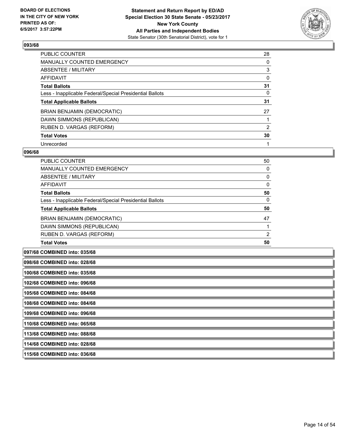

| <b>PUBLIC COUNTER</b>                                    | 28 |
|----------------------------------------------------------|----|
| MANUALLY COUNTED EMERGENCY                               | 0  |
| ABSENTEE / MILITARY                                      | 3  |
| AFFIDAVIT                                                | 0  |
| <b>Total Ballots</b>                                     | 31 |
| Less - Inapplicable Federal/Special Presidential Ballots | 0  |
| <b>Total Applicable Ballots</b>                          | 31 |
| BRIAN BENJAMIN (DEMOCRATIC)                              | 27 |
| DAWN SIMMONS (REPUBLICAN)                                |    |
| RUBEN D. VARGAS (REFORM)                                 | 2  |
| <b>Total Votes</b>                                       | 30 |
| Unrecorded                                               |    |

#### **096/68**

| <b>PUBLIC COUNTER</b>                                    | 50             |
|----------------------------------------------------------|----------------|
| <b>MANUALLY COUNTED EMERGENCY</b>                        | 0              |
| ABSENTEE / MILITARY                                      | 0              |
| <b>AFFIDAVIT</b>                                         | 0              |
| <b>Total Ballots</b>                                     | 50             |
| Less - Inapplicable Federal/Special Presidential Ballots | 0              |
| <b>Total Applicable Ballots</b>                          | 50             |
| BRIAN BENJAMIN (DEMOCRATIC)                              | 47             |
| DAWN SIMMONS (REPUBLICAN)                                |                |
| RUBEN D. VARGAS (REFORM)                                 | $\overline{2}$ |
| <b>Total Votes</b>                                       | 50             |

**097/68 COMBINED into: 035/68**

**098/68 COMBINED into: 028/68**

**100/68 COMBINED into: 035/68**

**102/68 COMBINED into: 096/68**

**105/68 COMBINED into: 084/68**

**108/68 COMBINED into: 084/68**

**109/68 COMBINED into: 096/68**

**110/68 COMBINED into: 065/68**

**113/68 COMBINED into: 088/68**

**114/68 COMBINED into: 028/68**

**115/68 COMBINED into: 036/68**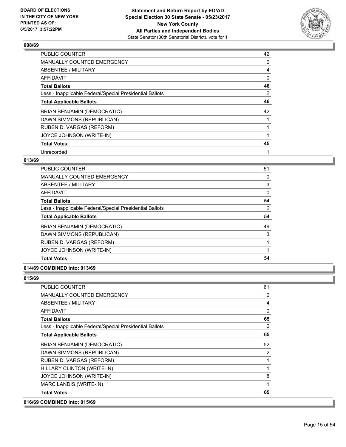

| <b>PUBLIC COUNTER</b>                                    | 42 |
|----------------------------------------------------------|----|
| <b>MANUALLY COUNTED EMERGENCY</b>                        | 0  |
| ABSENTEE / MILITARY                                      | 4  |
| <b>AFFIDAVIT</b>                                         | 0  |
| <b>Total Ballots</b>                                     | 46 |
| Less - Inapplicable Federal/Special Presidential Ballots | 0  |
| <b>Total Applicable Ballots</b>                          | 46 |
| <b>BRIAN BENJAMIN (DEMOCRATIC)</b>                       | 42 |
| DAWN SIMMONS (REPUBLICAN)                                |    |
| RUBEN D. VARGAS (REFORM)                                 |    |
| JOYCE JOHNSON (WRITE-IN)                                 |    |
| <b>Total Votes</b>                                       | 45 |
| Unrecorded                                               | 1  |

# **013/69**

| <b>PUBLIC COUNTER</b>                                    | 51       |
|----------------------------------------------------------|----------|
| <b>MANUALLY COUNTED EMERGENCY</b>                        | 0        |
| ABSENTEE / MILITARY                                      | 3        |
| AFFIDAVIT                                                | 0        |
| <b>Total Ballots</b>                                     | 54       |
| Less - Inapplicable Federal/Special Presidential Ballots | $\Omega$ |
| <b>Total Applicable Ballots</b>                          | 54       |
| BRIAN BENJAMIN (DEMOCRATIC)                              | 49       |
| DAWN SIMMONS (REPUBLICAN)                                | 3        |
| RUBEN D. VARGAS (REFORM)                                 |          |
| JOYCE JOHNSON (WRITE-IN)                                 |          |
| <b>Total Votes</b>                                       | 54       |

# **014/69 COMBINED into: 013/69**

| <b>PUBLIC COUNTER</b>                                    | 61           |
|----------------------------------------------------------|--------------|
| <b>MANUALLY COUNTED EMERGENCY</b>                        | 0            |
| <b>ABSENTEE / MILITARY</b>                               | 4            |
| <b>AFFIDAVIT</b>                                         | 0            |
| <b>Total Ballots</b>                                     | 65           |
| Less - Inapplicable Federal/Special Presidential Ballots | $\mathbf{0}$ |
| <b>Total Applicable Ballots</b>                          | 65           |
| <b>BRIAN BENJAMIN (DEMOCRATIC)</b>                       | 52           |
| DAWN SIMMONS (REPUBLICAN)                                | 2            |
| RUBEN D. VARGAS (REFORM)                                 | 1            |
| HILLARY CLINTON (WRITE-IN)                               | $\mathbf{1}$ |
| JOYCE JOHNSON (WRITE-IN)                                 | 8            |
| MARC LANDIS (WRITE-IN)                                   | 1            |
| <b>Total Votes</b>                                       | 65           |
| 016/69 COMBINED into: 015/69                             |              |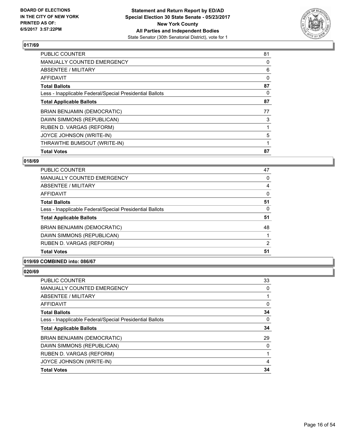

| <b>PUBLIC COUNTER</b>                                    | 81 |
|----------------------------------------------------------|----|
| <b>MANUALLY COUNTED EMERGENCY</b>                        | 0  |
| ABSENTEE / MILITARY                                      | 6  |
| <b>AFFIDAVIT</b>                                         | 0  |
| <b>Total Ballots</b>                                     | 87 |
| Less - Inapplicable Federal/Special Presidential Ballots | 0  |
| <b>Total Applicable Ballots</b>                          | 87 |
| <b>BRIAN BENJAMIN (DEMOCRATIC)</b>                       | 77 |
| DAWN SIMMONS (REPUBLICAN)                                | 3  |
| RUBEN D. VARGAS (REFORM)                                 |    |
| JOYCE JOHNSON (WRITE-IN)                                 | 5  |
| THRAWTHE BUMSOUT (WRITE-IN)                              |    |
| <b>Total Votes</b>                                       | 87 |

# **018/69**

| <b>PUBLIC COUNTER</b>                                    | 47             |
|----------------------------------------------------------|----------------|
| MANUALLY COUNTED EMERGENCY                               | 0              |
| ABSENTEE / MILITARY                                      | 4              |
| <b>AFFIDAVIT</b>                                         | 0              |
| <b>Total Ballots</b>                                     | 51             |
| Less - Inapplicable Federal/Special Presidential Ballots | 0              |
| <b>Total Applicable Ballots</b>                          | 51             |
| <b>BRIAN BENJAMIN (DEMOCRATIC)</b>                       | 48             |
| DAWN SIMMONS (REPUBLICAN)                                |                |
| RUBEN D. VARGAS (REFORM)                                 | $\overline{2}$ |
| <b>Total Votes</b>                                       | 51             |

# **019/69 COMBINED into: 086/67**

| PUBLIC COUNTER                                           | 33       |
|----------------------------------------------------------|----------|
| <b>MANUALLY COUNTED EMERGENCY</b>                        | 0        |
| <b>ABSENTEE / MILITARY</b>                               |          |
| <b>AFFIDAVIT</b>                                         | 0        |
| <b>Total Ballots</b>                                     | 34       |
| Less - Inapplicable Federal/Special Presidential Ballots | $\Omega$ |
| <b>Total Applicable Ballots</b>                          | 34       |
| <b>BRIAN BENJAMIN (DEMOCRATIC)</b>                       | 29       |
| DAWN SIMMONS (REPUBLICAN)                                | 0        |
| RUBEN D. VARGAS (REFORM)                                 |          |
| JOYCE JOHNSON (WRITE-IN)                                 | 4        |
| <b>Total Votes</b>                                       | 34       |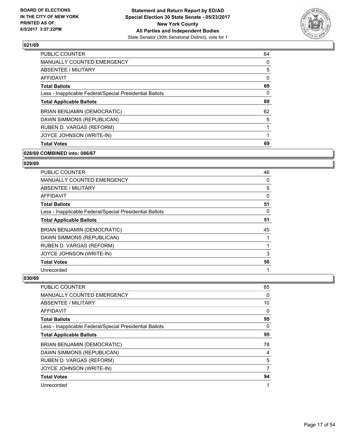

| <b>PUBLIC COUNTER</b>                                    | 64 |
|----------------------------------------------------------|----|
| <b>MANUALLY COUNTED EMERGENCY</b>                        | 0  |
| ABSENTEE / MILITARY                                      | 5  |
| <b>AFFIDAVIT</b>                                         | 0  |
| <b>Total Ballots</b>                                     | 69 |
| Less - Inapplicable Federal/Special Presidential Ballots | 0  |
| <b>Total Applicable Ballots</b>                          | 69 |
| <b>BRIAN BENJAMIN (DEMOCRATIC)</b>                       | 62 |
| DAWN SIMMONS (REPUBLICAN)                                | 5  |
| RUBEN D. VARGAS (REFORM)                                 |    |
| JOYCE JOHNSON (WRITE-IN)                                 |    |
| <b>Total Votes</b>                                       | 69 |

### **028/69 COMBINED into: 086/67**

### **029/69**

| <b>PUBLIC COUNTER</b>                                    | 46 |
|----------------------------------------------------------|----|
| <b>MANUALLY COUNTED EMERGENCY</b>                        | 0  |
| ABSENTEE / MILITARY                                      | 5  |
| <b>AFFIDAVIT</b>                                         | 0  |
| <b>Total Ballots</b>                                     | 51 |
| Less - Inapplicable Federal/Special Presidential Ballots | 0  |
| <b>Total Applicable Ballots</b>                          | 51 |
| <b>BRIAN BENJAMIN (DEMOCRATIC)</b>                       | 45 |
| DAWN SIMMONS (REPUBLICAN)                                |    |
| RUBEN D. VARGAS (REFORM)                                 |    |
| JOYCE JOHNSON (WRITE-IN)                                 | 3  |
| <b>Total Votes</b>                                       | 50 |
| Unrecorded                                               |    |

| <b>PUBLIC COUNTER</b>                                    | 85 |
|----------------------------------------------------------|----|
| MANUALLY COUNTED EMERGENCY                               | 0  |
| ABSENTEE / MILITARY                                      | 10 |
| AFFIDAVIT                                                | 0  |
| <b>Total Ballots</b>                                     | 95 |
| Less - Inapplicable Federal/Special Presidential Ballots | 0  |
| <b>Total Applicable Ballots</b>                          | 95 |
| BRIAN BENJAMIN (DEMOCRATIC)                              | 78 |
| DAWN SIMMONS (REPUBLICAN)                                | 4  |
| RUBEN D. VARGAS (REFORM)                                 | 5  |
| JOYCE JOHNSON (WRITE-IN)                                 | 7  |
| <b>Total Votes</b>                                       | 94 |
| Unrecorded                                               | 1  |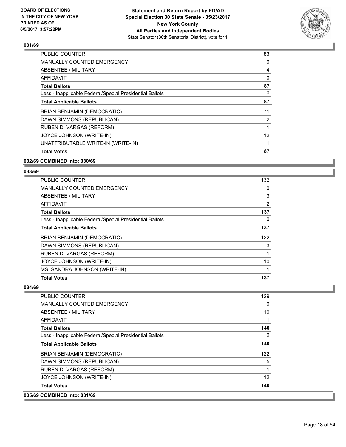

| <b>Total Votes</b>                                       | 87       |
|----------------------------------------------------------|----------|
| UNATTRIBUTABLE WRITE-IN (WRITE-IN)                       |          |
| JOYCE JOHNSON (WRITE-IN)                                 | 12       |
| RUBEN D. VARGAS (REFORM)                                 |          |
| DAWN SIMMONS (REPUBLICAN)                                | 2        |
| <b>BRIAN BENJAMIN (DEMOCRATIC)</b>                       | 71       |
| <b>Total Applicable Ballots</b>                          | 87       |
| Less - Inapplicable Federal/Special Presidential Ballots | 0        |
| <b>Total Ballots</b>                                     | 87       |
| AFFIDAVIT                                                | $\Omega$ |
| ABSENTEE / MILITARY                                      | 4        |
| <b>MANUALLY COUNTED EMERGENCY</b>                        | 0        |
| <b>PUBLIC COUNTER</b>                                    | 83       |

# **032/69 COMBINED into: 030/69**

### **033/69**

| <b>Total Votes</b>                                       | 137            |
|----------------------------------------------------------|----------------|
| MS. SANDRA JOHNSON (WRITE-IN)                            |                |
| JOYCE JOHNSON (WRITE-IN)                                 | 10             |
| RUBEN D. VARGAS (REFORM)                                 |                |
| DAWN SIMMONS (REPUBLICAN)                                | 3              |
| BRIAN BENJAMIN (DEMOCRATIC)                              | 122            |
| <b>Total Applicable Ballots</b>                          | 137            |
| Less - Inapplicable Federal/Special Presidential Ballots | 0              |
| <b>Total Ballots</b>                                     | 137            |
| AFFIDAVIT                                                | $\overline{2}$ |
| ABSENTEE / MILITARY                                      | 3              |
| <b>MANUALLY COUNTED EMERGENCY</b>                        | 0              |
| <b>PUBLIC COUNTER</b>                                    | 132            |

| <b>PUBLIC COUNTER</b>                                    | 129      |
|----------------------------------------------------------|----------|
| <b>MANUALLY COUNTED EMERGENCY</b>                        | 0        |
| ABSENTEE / MILITARY                                      | 10       |
| AFFIDAVIT                                                |          |
| <b>Total Ballots</b>                                     | 140      |
| Less - Inapplicable Federal/Special Presidential Ballots | $\Omega$ |
| <b>Total Applicable Ballots</b>                          | 140      |
| BRIAN BENJAMIN (DEMOCRATIC)                              | 122      |
| DAWN SIMMONS (REPUBLICAN)                                | 5        |
| RUBEN D. VARGAS (REFORM)                                 |          |
| JOYCE JOHNSON (WRITE-IN)                                 | 12       |
| <b>Total Votes</b>                                       | 140      |
| 035/69 COMBINED into: 031/69                             |          |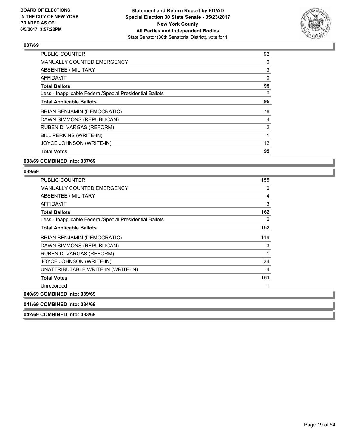

| PUBLIC COUNTER                                           | 92             |
|----------------------------------------------------------|----------------|
| <b>MANUALLY COUNTED EMERGENCY</b>                        | 0              |
| ABSENTEE / MILITARY                                      | 3              |
| <b>AFFIDAVIT</b>                                         | $\Omega$       |
| <b>Total Ballots</b>                                     | 95             |
| Less - Inapplicable Federal/Special Presidential Ballots | 0              |
| <b>Total Applicable Ballots</b>                          | 95             |
| <b>BRIAN BENJAMIN (DEMOCRATIC)</b>                       | 76             |
| DAWN SIMMONS (REPUBLICAN)                                | 4              |
| RUBEN D. VARGAS (REFORM)                                 | $\overline{2}$ |
| BILL PERKINS (WRITE-IN)                                  |                |
| JOYCE JOHNSON (WRITE-IN)                                 | 12             |
| <b>Total Votes</b>                                       | 95             |

# **038/69 COMBINED into: 037/69**

### **039/69**

| <b>PUBLIC COUNTER</b>                                    | 155 |
|----------------------------------------------------------|-----|
| <b>MANUALLY COUNTED EMERGENCY</b>                        | 0   |
| ABSENTEE / MILITARY                                      | 4   |
| <b>AFFIDAVIT</b>                                         | 3   |
| <b>Total Ballots</b>                                     | 162 |
| Less - Inapplicable Federal/Special Presidential Ballots | 0   |
| <b>Total Applicable Ballots</b>                          | 162 |
| BRIAN BENJAMIN (DEMOCRATIC)                              | 119 |
| DAWN SIMMONS (REPUBLICAN)                                | 3   |
| RUBEN D. VARGAS (REFORM)                                 |     |
| JOYCE JOHNSON (WRITE-IN)                                 | 34  |
| UNATTRIBUTABLE WRITE-IN (WRITE-IN)                       | 4   |
| <b>Total Votes</b>                                       | 161 |
| Unrecorded                                               |     |
| 040/69 COMBINED into: 039/69                             |     |
| 041/69 COMBINED into: 034/69                             |     |

**042/69 COMBINED into: 033/69**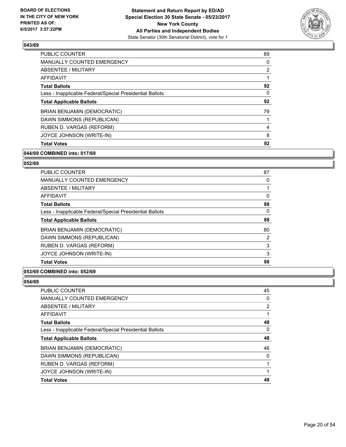

| <b>PUBLIC COUNTER</b>                                    | 89             |
|----------------------------------------------------------|----------------|
| <b>MANUALLY COUNTED EMERGENCY</b>                        | 0              |
| ABSENTEE / MILITARY                                      | $\overline{2}$ |
| <b>AFFIDAVIT</b>                                         |                |
| <b>Total Ballots</b>                                     | 92             |
| Less - Inapplicable Federal/Special Presidential Ballots | 0              |
| <b>Total Applicable Ballots</b>                          | 92             |
| <b>BRIAN BENJAMIN (DEMOCRATIC)</b>                       | 79             |
| DAWN SIMMONS (REPUBLICAN)                                |                |
| RUBEN D. VARGAS (REFORM)                                 | 4              |
| JOYCE JOHNSON (WRITE-IN)                                 | 8              |
| <b>Total Votes</b>                                       | 92             |

# **044/69 COMBINED into: 017/69**

# **052/69**

| <b>PUBLIC COUNTER</b>                                    | 87 |
|----------------------------------------------------------|----|
| <b>MANUALLY COUNTED EMERGENCY</b>                        | 0  |
| ABSENTEE / MILITARY                                      |    |
| <b>AFFIDAVIT</b>                                         | 0  |
| <b>Total Ballots</b>                                     | 88 |
| Less - Inapplicable Federal/Special Presidential Ballots | 0  |
| <b>Total Applicable Ballots</b>                          | 88 |
| <b>BRIAN BENJAMIN (DEMOCRATIC)</b>                       | 80 |
| DAWN SIMMONS (REPUBLICAN)                                | 2  |
| RUBEN D. VARGAS (REFORM)                                 | 3  |
| JOYCE JOHNSON (WRITE-IN)                                 | 3  |
| <b>Total Votes</b>                                       | 88 |

### **053/69 COMBINED into: 052/69**

| <b>PUBLIC COUNTER</b>                                    | 45 |
|----------------------------------------------------------|----|
| <b>MANUALLY COUNTED EMERGENCY</b>                        | 0  |
| ABSENTEE / MILITARY                                      | 2  |
| AFFIDAVIT                                                |    |
| <b>Total Ballots</b>                                     | 48 |
| Less - Inapplicable Federal/Special Presidential Ballots | 0  |
| <b>Total Applicable Ballots</b>                          | 48 |
| <b>BRIAN BENJAMIN (DEMOCRATIC)</b>                       | 46 |
| DAWN SIMMONS (REPUBLICAN)                                | 0  |
| RUBEN D. VARGAS (REFORM)                                 |    |
| JOYCE JOHNSON (WRITE-IN)                                 |    |
| <b>Total Votes</b>                                       | 48 |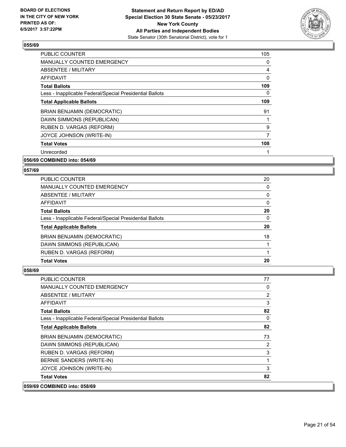

| <b>PUBLIC COUNTER</b>                                    | 105 |
|----------------------------------------------------------|-----|
| <b>MANUALLY COUNTED EMERGENCY</b>                        | 0   |
| ABSENTEE / MILITARY                                      | 4   |
| <b>AFFIDAVIT</b>                                         | 0   |
| <b>Total Ballots</b>                                     | 109 |
| Less - Inapplicable Federal/Special Presidential Ballots | 0   |
| <b>Total Applicable Ballots</b>                          | 109 |
| <b>BRIAN BENJAMIN (DEMOCRATIC)</b>                       | 91  |
| DAWN SIMMONS (REPUBLICAN)                                |     |
| RUBEN D. VARGAS (REFORM)                                 | 9   |
| JOYCE JOHNSON (WRITE-IN)                                 | 7   |
| <b>Total Votes</b>                                       | 108 |
| Unrecorded                                               |     |
|                                                          |     |

### **056/69 COMBINED into: 054/69**

### **057/69**

| <b>PUBLIC COUNTER</b>                                    | 20 |
|----------------------------------------------------------|----|
| MANUALLY COUNTED EMERGENCY                               | 0  |
| ABSENTEE / MILITARY                                      | 0  |
| AFFIDAVIT                                                | 0  |
| <b>Total Ballots</b>                                     | 20 |
| Less - Inapplicable Federal/Special Presidential Ballots | 0  |
| <b>Total Applicable Ballots</b>                          | 20 |
| <b>BRIAN BENJAMIN (DEMOCRATIC)</b>                       | 18 |
| DAWN SIMMONS (REPUBLICAN)                                |    |
| RUBEN D. VARGAS (REFORM)                                 |    |
| <b>Total Votes</b>                                       | 20 |

| 059/69 COMBINED into: 058/69                             |                |
|----------------------------------------------------------|----------------|
| <b>Total Votes</b>                                       | 82             |
| JOYCE JOHNSON (WRITE-IN)                                 | 3              |
| BERNIE SANDERS (WRITE-IN)                                | 1              |
| RUBEN D. VARGAS (REFORM)                                 | 3              |
| DAWN SIMMONS (REPUBLICAN)                                | 2              |
| <b>BRIAN BENJAMIN (DEMOCRATIC)</b>                       | 73             |
| <b>Total Applicable Ballots</b>                          | 82             |
| Less - Inapplicable Federal/Special Presidential Ballots | 0              |
| <b>Total Ballots</b>                                     | 82             |
| <b>AFFIDAVIT</b>                                         | 3              |
| <b>ABSENTEE / MILITARY</b>                               | $\overline{2}$ |
| <b>MANUALLY COUNTED EMERGENCY</b>                        | 0              |
| PUBLIC COUNTER                                           | 77             |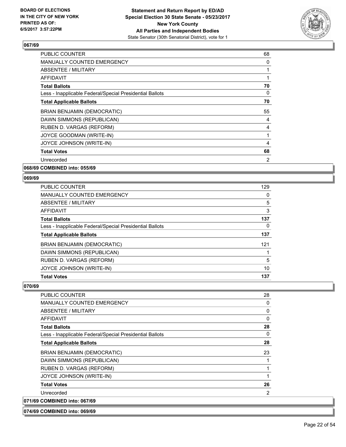

| <b>PUBLIC COUNTER</b>                                    | 68 |
|----------------------------------------------------------|----|
| <b>MANUALLY COUNTED EMERGENCY</b>                        | 0  |
| ABSENTEE / MILITARY                                      | 1  |
| <b>AFFIDAVIT</b>                                         |    |
| <b>Total Ballots</b>                                     | 70 |
| Less - Inapplicable Federal/Special Presidential Ballots | 0  |
| <b>Total Applicable Ballots</b>                          | 70 |
| <b>BRIAN BENJAMIN (DEMOCRATIC)</b>                       | 55 |
| DAWN SIMMONS (REPUBLICAN)                                | 4  |
| RUBEN D. VARGAS (REFORM)                                 | 4  |
| JOYCE GOODMAN (WRITE-IN)                                 |    |
| JOYCE JOHNSON (WRITE-IN)                                 | 4  |
| <b>Total Votes</b>                                       | 68 |
| Unrecorded                                               | 2  |
|                                                          |    |

**068/69 COMBINED into: 055/69**

# **069/69**

| <b>PUBLIC COUNTER</b>                                    | 129 |
|----------------------------------------------------------|-----|
| <b>MANUALLY COUNTED EMERGENCY</b>                        | 0   |
| ABSENTEE / MILITARY                                      | 5   |
| <b>AFFIDAVIT</b>                                         | 3   |
| <b>Total Ballots</b>                                     | 137 |
| Less - Inapplicable Federal/Special Presidential Ballots | 0   |
| <b>Total Applicable Ballots</b>                          | 137 |
| BRIAN BENJAMIN (DEMOCRATIC)                              | 121 |
| DAWN SIMMONS (REPUBLICAN)                                |     |
| RUBEN D. VARGAS (REFORM)                                 | 5   |
| JOYCE JOHNSON (WRITE-IN)                                 | 10  |
| <b>Total Votes</b>                                       | 137 |

# **070/69**

| PUBLIC COUNTER                                           | 28 |
|----------------------------------------------------------|----|
| <b>MANUALLY COUNTED EMERGENCY</b>                        | 0  |
| ABSENTEE / MILITARY                                      | 0  |
| <b>AFFIDAVIT</b>                                         | 0  |
| <b>Total Ballots</b>                                     | 28 |
| Less - Inapplicable Federal/Special Presidential Ballots | 0  |
| <b>Total Applicable Ballots</b>                          | 28 |
| <b>BRIAN BENJAMIN (DEMOCRATIC)</b>                       | 23 |
| DAWN SIMMONS (REPUBLICAN)                                |    |
| RUBEN D. VARGAS (REFORM)                                 |    |
| JOYCE JOHNSON (WRITE-IN)                                 |    |
| <b>Total Votes</b>                                       | 26 |
| Unrecorded                                               | 2  |
| 071/69 COMBINED into: 067/69                             |    |

**074/69 COMBINED into: 069/69**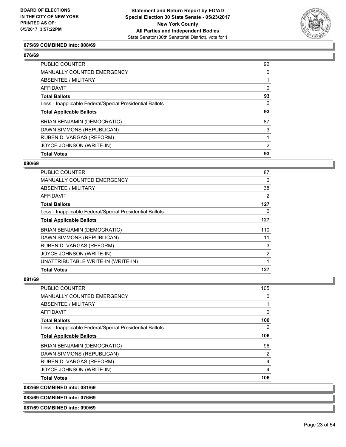

# **075/69 COMBINED into: 008/69**

**076/69** 

| <b>PUBLIC COUNTER</b>                                    | 92 |
|----------------------------------------------------------|----|
| MANUALLY COUNTED EMERGENCY                               | 0  |
| <b>ABSENTEE / MILITARY</b>                               |    |
| AFFIDAVIT                                                | 0  |
| <b>Total Ballots</b>                                     | 93 |
| Less - Inapplicable Federal/Special Presidential Ballots | 0  |
| <b>Total Applicable Ballots</b>                          | 93 |
| <b>BRIAN BENJAMIN (DEMOCRATIC)</b>                       | 87 |
| DAWN SIMMONS (REPUBLICAN)                                | 3  |
| RUBEN D. VARGAS (REFORM)                                 |    |
| JOYCE JOHNSON (WRITE-IN)                                 | 2  |
| <b>Total Votes</b>                                       | 93 |

### **080/69**

| PUBLIC COUNTER<br><b>MANUALLY COUNTED EMERGENCY</b>      | 87<br>0 |
|----------------------------------------------------------|---------|
|                                                          |         |
| ABSENTEE / MILITARY                                      | 38      |
| AFFIDAVIT                                                | 2       |
| <b>Total Ballots</b>                                     | 127     |
| Less - Inapplicable Federal/Special Presidential Ballots | 0       |
| <b>Total Applicable Ballots</b>                          | 127     |
| <b>BRIAN BENJAMIN (DEMOCRATIC)</b>                       | 110     |
| DAWN SIMMONS (REPUBLICAN)                                | 11      |
| RUBEN D. VARGAS (REFORM)                                 | 3       |
| JOYCE JOHNSON (WRITE-IN)                                 | 2       |
| UNATTRIBUTABLE WRITE-IN (WRITE-IN)                       |         |
| <b>Total Votes</b>                                       | 127     |

**081/69** 

**082/69** 

| <b>COMBINED into: 081/69</b>                             |     |
|----------------------------------------------------------|-----|
| <b>Total Votes</b>                                       | 106 |
| JOYCE JOHNSON (WRITE-IN)                                 | 4   |
| RUBEN D. VARGAS (REFORM)                                 | 4   |
| DAWN SIMMONS (REPUBLICAN)                                | 2   |
| BRIAN BENJAMIN (DEMOCRATIC)                              | 96  |
| <b>Total Applicable Ballots</b>                          | 106 |
| Less - Inapplicable Federal/Special Presidential Ballots | 0   |
| <b>Total Ballots</b>                                     | 106 |
| AFFIDAVIT                                                | 0   |
| ABSENTEE / MILITARY                                      |     |
| <b>MANUALLY COUNTED EMERGENCY</b>                        | 0   |
| <b>PUBLIC COUNTER</b>                                    | 105 |

**083/69 COMBINED into: 076/69**

**087/69 COMBINED into: 090/69**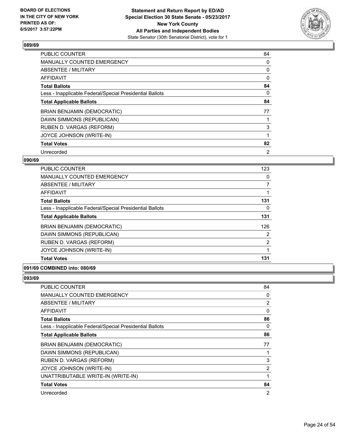

| <b>PUBLIC COUNTER</b>                                    | 84 |
|----------------------------------------------------------|----|
| <b>MANUALLY COUNTED EMERGENCY</b>                        | 0  |
| <b>ABSENTEE / MILITARY</b>                               | 0  |
| <b>AFFIDAVIT</b>                                         | 0  |
| <b>Total Ballots</b>                                     | 84 |
| Less - Inapplicable Federal/Special Presidential Ballots | 0  |
| <b>Total Applicable Ballots</b>                          | 84 |
| <b>BRIAN BENJAMIN (DEMOCRATIC)</b>                       | 77 |
| DAWN SIMMONS (REPUBLICAN)                                |    |
| RUBEN D. VARGAS (REFORM)                                 | 3  |
| JOYCE JOHNSON (WRITE-IN)                                 |    |
| <b>Total Votes</b>                                       | 82 |
| Unrecorded                                               | 2  |

# **090/69**

| <b>PUBLIC COUNTER</b>                                    | 123            |
|----------------------------------------------------------|----------------|
| <b>MANUALLY COUNTED EMERGENCY</b>                        | 0              |
| ABSENTEE / MILITARY                                      | 7              |
| AFFIDAVIT                                                |                |
| <b>Total Ballots</b>                                     | 131            |
| Less - Inapplicable Federal/Special Presidential Ballots | 0              |
| <b>Total Applicable Ballots</b>                          | 131            |
| <b>BRIAN BENJAMIN (DEMOCRATIC)</b>                       | 126            |
| DAWN SIMMONS (REPUBLICAN)                                | 2              |
| RUBEN D. VARGAS (REFORM)                                 | $\overline{2}$ |
| JOYCE JOHNSON (WRITE-IN)                                 |                |
| <b>Total Votes</b>                                       | 131            |

# **091/69 COMBINED into: 080/69**

| PUBLIC COUNTER                                           | 84 |
|----------------------------------------------------------|----|
| <b>MANUALLY COUNTED EMERGENCY</b>                        | 0  |
| ABSENTEE / MILITARY                                      | 2  |
| AFFIDAVIT                                                | 0  |
| <b>Total Ballots</b>                                     | 86 |
| Less - Inapplicable Federal/Special Presidential Ballots | 0  |
| <b>Total Applicable Ballots</b>                          | 86 |
| <b>BRIAN BENJAMIN (DEMOCRATIC)</b>                       | 77 |
| DAWN SIMMONS (REPUBLICAN)                                | 1  |
| RUBEN D. VARGAS (REFORM)                                 | 3  |
| JOYCE JOHNSON (WRITE-IN)                                 | 2  |
| UNATTRIBUTABLE WRITE-IN (WRITE-IN)                       | 1  |
| <b>Total Votes</b>                                       | 84 |
| Unrecorded                                               | 2  |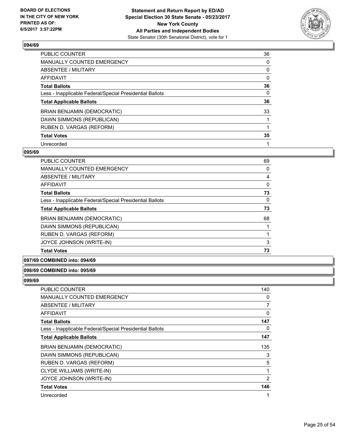

| PUBLIC COUNTER                                           | 36 |
|----------------------------------------------------------|----|
| <b>MANUALLY COUNTED EMERGENCY</b>                        | 0  |
| ABSENTEE / MILITARY                                      | 0  |
| AFFIDAVIT                                                | 0  |
| <b>Total Ballots</b>                                     | 36 |
| Less - Inapplicable Federal/Special Presidential Ballots | 0  |
| <b>Total Applicable Ballots</b>                          | 36 |
| <b>BRIAN BENJAMIN (DEMOCRATIC)</b>                       | 33 |
| DAWN SIMMONS (REPUBLICAN)                                |    |
| RUBEN D. VARGAS (REFORM)                                 |    |
| <b>Total Votes</b>                                       | 35 |
| Unrecorded                                               |    |

### **095/69**

| <b>PUBLIC COUNTER</b>                                    | 69 |
|----------------------------------------------------------|----|
| <b>MANUALLY COUNTED EMERGENCY</b>                        | 0  |
| <b>ABSENTEE / MILITARY</b>                               | 4  |
| <b>AFFIDAVIT</b>                                         | 0  |
| <b>Total Ballots</b>                                     | 73 |
| Less - Inapplicable Federal/Special Presidential Ballots | 0  |
| <b>Total Applicable Ballots</b>                          | 73 |
| <b>BRIAN BENJAMIN (DEMOCRATIC)</b>                       | 68 |
| DAWN SIMMONS (REPUBLICAN)                                |    |
| RUBEN D. VARGAS (REFORM)                                 |    |
| JOYCE JOHNSON (WRITE-IN)                                 | 3  |
| <b>Total Votes</b>                                       | 73 |

# **097/69 COMBINED into: 094/69**

# **098/69 COMBINED into: 095/69**

| <b>PUBLIC COUNTER</b>                                    | 140 |
|----------------------------------------------------------|-----|
| <b>MANUALLY COUNTED EMERGENCY</b>                        | 0   |
| ABSENTEE / MILITARY                                      | 7   |
| AFFIDAVIT                                                | 0   |
| <b>Total Ballots</b>                                     | 147 |
| Less - Inapplicable Federal/Special Presidential Ballots | 0   |
| <b>Total Applicable Ballots</b>                          | 147 |
| <b>BRIAN BENJAMIN (DEMOCRATIC)</b>                       | 135 |
| DAWN SIMMONS (REPUBLICAN)                                | 3   |
| RUBEN D. VARGAS (REFORM)                                 | 5   |
| CLYDE WILLIAMS (WRITE-IN)                                | 1   |
| JOYCE JOHNSON (WRITE-IN)                                 | 2   |
| <b>Total Votes</b>                                       | 146 |
| Unrecorded                                               | 1   |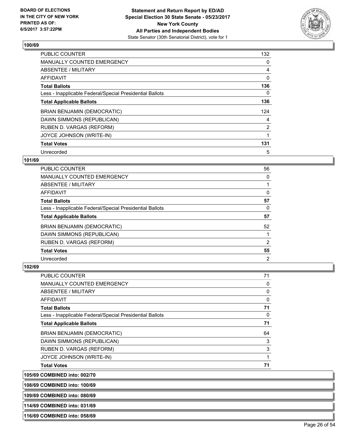

| <b>PUBLIC COUNTER</b>                                    | 132            |
|----------------------------------------------------------|----------------|
| <b>MANUALLY COUNTED EMERGENCY</b>                        | 0              |
| ABSENTEE / MILITARY                                      | 4              |
| <b>AFFIDAVIT</b>                                         | 0              |
| <b>Total Ballots</b>                                     | 136            |
| Less - Inapplicable Federal/Special Presidential Ballots | 0              |
| <b>Total Applicable Ballots</b>                          | 136            |
| BRIAN BENJAMIN (DEMOCRATIC)                              | 124            |
| DAWN SIMMONS (REPUBLICAN)                                | 4              |
| RUBEN D. VARGAS (REFORM)                                 | $\overline{2}$ |
| JOYCE JOHNSON (WRITE-IN)                                 |                |
| <b>Total Votes</b>                                       | 131            |
| Unrecorded                                               | 5              |

# **101/69**

| PUBLIC COUNTER                                           | 56             |
|----------------------------------------------------------|----------------|
| <b>MANUALLY COUNTED EMERGENCY</b>                        | 0              |
| ABSENTEE / MILITARY                                      |                |
| AFFIDAVIT                                                | 0              |
| <b>Total Ballots</b>                                     | 57             |
| Less - Inapplicable Federal/Special Presidential Ballots | 0              |
| <b>Total Applicable Ballots</b>                          | 57             |
| BRIAN BENJAMIN (DEMOCRATIC)                              | 52             |
| DAWN SIMMONS (REPUBLICAN)                                |                |
| RUBEN D. VARGAS (REFORM)                                 | 2              |
| <b>Total Votes</b>                                       | 55             |
| Unrecorded                                               | $\overline{2}$ |

### **102/69**

| <b>PUBLIC COUNTER</b>                                    | 71       |
|----------------------------------------------------------|----------|
| <b>MANUALLY COUNTED EMERGENCY</b>                        | 0        |
| <b>ABSENTEE / MILITARY</b>                               | 0        |
| <b>AFFIDAVIT</b>                                         | 0        |
| <b>Total Ballots</b>                                     | 71       |
| Less - Inapplicable Federal/Special Presidential Ballots | $\Omega$ |
| <b>Total Applicable Ballots</b>                          | 71       |
| BRIAN BENJAMIN (DEMOCRATIC)                              | 64       |
| DAWN SIMMONS (REPUBLICAN)                                | 3        |
| RUBEN D. VARGAS (REFORM)                                 | 3        |
| JOYCE JOHNSON (WRITE-IN)                                 |          |
| <b>Total Votes</b>                                       | 71       |

**105/69 COMBINED into: 002/70**

**108/69 COMBINED into: 100/69**

**109/69 COMBINED into: 080/69**

**114/69 COMBINED into: 031/69**

**116/69 COMBINED into: 058/69**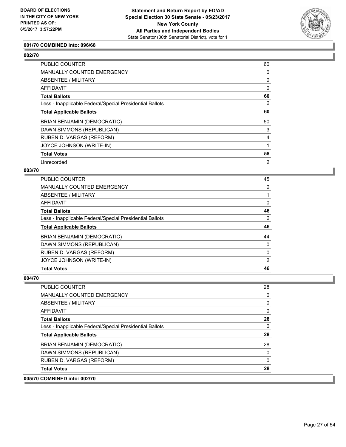

# **001/70 COMBINED into: 096/68**

# **002/70**

| <b>PUBLIC COUNTER</b>                                    | 60 |
|----------------------------------------------------------|----|
| <b>MANUALLY COUNTED EMERGENCY</b>                        | 0  |
| ABSENTEE / MILITARY                                      | 0  |
| <b>AFFIDAVIT</b>                                         | 0  |
| <b>Total Ballots</b>                                     | 60 |
| Less - Inapplicable Federal/Special Presidential Ballots | 0  |
| <b>Total Applicable Ballots</b>                          | 60 |
| BRIAN BENJAMIN (DEMOCRATIC)                              | 50 |
| DAWN SIMMONS (REPUBLICAN)                                | 3  |
| RUBEN D. VARGAS (REFORM)                                 | 4  |
| JOYCE JOHNSON (WRITE-IN)                                 |    |
| <b>Total Votes</b>                                       | 58 |
| Unrecorded                                               | 2  |

#### **003/70**

| <b>PUBLIC COUNTER</b>                                    | 45             |
|----------------------------------------------------------|----------------|
| <b>MANUALLY COUNTED EMERGENCY</b>                        | 0              |
| ABSENTEE / MILITARY                                      |                |
| AFFIDAVIT                                                | 0              |
| <b>Total Ballots</b>                                     | 46             |
| Less - Inapplicable Federal/Special Presidential Ballots | 0              |
| <b>Total Applicable Ballots</b>                          | 46             |
| BRIAN BENJAMIN (DEMOCRATIC)                              | 44             |
| DAWN SIMMONS (REPUBLICAN)                                | 0              |
| RUBEN D. VARGAS (REFORM)                                 | 0              |
|                                                          |                |
| JOYCE JOHNSON (WRITE-IN)                                 | $\overline{2}$ |

| PUBLIC COUNTER                                           | 28           |
|----------------------------------------------------------|--------------|
| <b>MANUALLY COUNTED EMERGENCY</b>                        | 0            |
| ABSENTEE / MILITARY                                      | 0            |
| <b>AFFIDAVIT</b>                                         | $\mathbf{0}$ |
| <b>Total Ballots</b>                                     | 28           |
| Less - Inapplicable Federal/Special Presidential Ballots | $\mathbf{0}$ |
| <b>Total Applicable Ballots</b>                          | 28           |
| <b>BRIAN BENJAMIN (DEMOCRATIC)</b>                       | 28           |
| DAWN SIMMONS (REPUBLICAN)                                | $\Omega$     |
| RUBEN D. VARGAS (REFORM)                                 | $\Omega$     |
| <b>Total Votes</b>                                       | 28           |
| 005/70 COMBINED into: 002/70                             |              |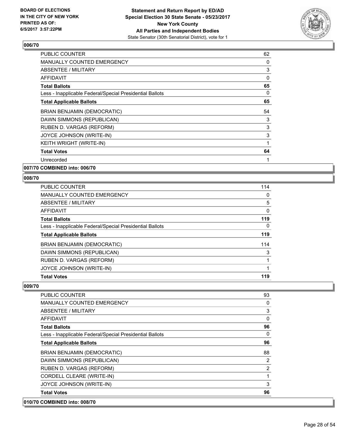

| <b>PUBLIC COUNTER</b>                                    | 62 |
|----------------------------------------------------------|----|
| MANUALLY COUNTED EMERGENCY                               | 0  |
| ABSENTEE / MILITARY                                      | 3  |
| AFFIDAVIT                                                | 0  |
| <b>Total Ballots</b>                                     | 65 |
| Less - Inapplicable Federal/Special Presidential Ballots | 0  |
| <b>Total Applicable Ballots</b>                          | 65 |
| <b>BRIAN BENJAMIN (DEMOCRATIC)</b>                       | 54 |
| DAWN SIMMONS (REPUBLICAN)                                | 3  |
| RUBEN D. VARGAS (REFORM)                                 | 3  |
| JOYCE JOHNSON (WRITE-IN)                                 | 3  |
| KEITH WRIGHT (WRITE-IN)                                  | 1  |
| <b>Total Votes</b>                                       | 64 |
| Unrecorded                                               |    |

**007/70 COMBINED into: 006/70**

### **008/70**

| <b>PUBLIC COUNTER</b>                                    | 114 |
|----------------------------------------------------------|-----|
| MANUALLY COUNTED EMERGENCY                               | 0   |
| ABSENTEE / MILITARY                                      | 5   |
| AFFIDAVIT                                                | 0   |
| <b>Total Ballots</b>                                     | 119 |
| Less - Inapplicable Federal/Special Presidential Ballots | 0   |
| <b>Total Applicable Ballots</b>                          | 119 |
| <b>BRIAN BENJAMIN (DEMOCRATIC)</b>                       | 114 |
| DAWN SIMMONS (REPUBLICAN)                                | 3   |
| RUBEN D. VARGAS (REFORM)                                 |     |
| JOYCE JOHNSON (WRITE-IN)                                 |     |
| <b>Total Votes</b>                                       | 119 |

| 010/70 COMBINED into: 008/70                             |                |
|----------------------------------------------------------|----------------|
| <b>Total Votes</b>                                       | 96             |
| JOYCE JOHNSON (WRITE-IN)                                 | 3              |
| CORDELL CLEARE (WRITE-IN)                                |                |
| RUBEN D. VARGAS (REFORM)                                 | $\overline{2}$ |
| DAWN SIMMONS (REPUBLICAN)                                | $\overline{2}$ |
| <b>BRIAN BENJAMIN (DEMOCRATIC)</b>                       | 88             |
| <b>Total Applicable Ballots</b>                          | 96             |
| Less - Inapplicable Federal/Special Presidential Ballots | $\mathbf{0}$   |
| Total Ballots                                            | 96             |
| AFFIDAVIT                                                | $\mathbf{0}$   |
| ABSENTEE / MILITARY                                      | 3              |
| <b>MANUALLY COUNTED EMERGENCY</b>                        | 0              |
| <b>PUBLIC COUNTER</b>                                    | 93             |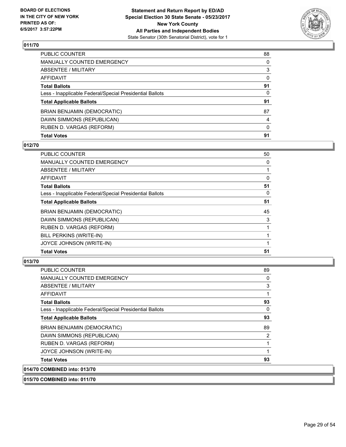

| <b>Total Votes</b>                                       | 91       |
|----------------------------------------------------------|----------|
| RUBEN D. VARGAS (REFORM)                                 | $\Omega$ |
| DAWN SIMMONS (REPUBLICAN)                                | 4        |
| BRIAN BENJAMIN (DEMOCRATIC)                              | 87       |
| <b>Total Applicable Ballots</b>                          | 91       |
| Less - Inapplicable Federal/Special Presidential Ballots | $\Omega$ |
| <b>Total Ballots</b>                                     | 91       |
| AFFIDAVIT                                                | $\Omega$ |
| ABSENTEE / MILITARY                                      | 3        |
| <b>MANUALLY COUNTED EMERGENCY</b>                        | 0        |
| PUBLIC COUNTER                                           | 88       |

# **012/70**

| PUBLIC COUNTER                                           | 50       |
|----------------------------------------------------------|----------|
| <b>MANUALLY COUNTED EMERGENCY</b>                        | 0        |
| <b>ABSENTEE / MILITARY</b>                               |          |
| <b>AFFIDAVIT</b>                                         | 0        |
| <b>Total Ballots</b>                                     | 51       |
| Less - Inapplicable Federal/Special Presidential Ballots | $\Omega$ |
| <b>Total Applicable Ballots</b>                          | 51       |
| <b>BRIAN BENJAMIN (DEMOCRATIC)</b>                       | 45       |
| DAWN SIMMONS (REPUBLICAN)                                | 3        |
| RUBEN D. VARGAS (REFORM)                                 |          |
| BILL PERKINS (WRITE-IN)                                  |          |
| JOYCE JOHNSON (WRITE-IN)                                 |          |
| <b>Total Votes</b>                                       | 51       |

# **013/70**

**014/70** 

| COMBINED into: 013/70                                    |    |
|----------------------------------------------------------|----|
| <b>Total Votes</b>                                       | 93 |
| JOYCE JOHNSON (WRITE-IN)                                 | 1  |
| RUBEN D. VARGAS (REFORM)                                 | 1  |
| DAWN SIMMONS (REPUBLICAN)                                | 2  |
| BRIAN BENJAMIN (DEMOCRATIC)                              | 89 |
| <b>Total Applicable Ballots</b>                          | 93 |
| Less - Inapplicable Federal/Special Presidential Ballots | 0  |
| <b>Total Ballots</b>                                     | 93 |
| AFFIDAVIT                                                | 1  |
| ABSENTEE / MILITARY                                      | 3  |
| <b>MANUALLY COUNTED EMERGENCY</b>                        | 0  |
| <b>PUBLIC COUNTER</b>                                    | 89 |

**015/70 COMBINED into: 011/70**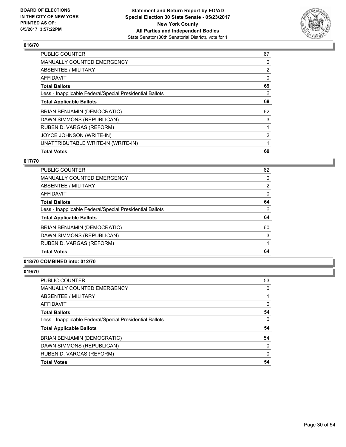

| <b>PUBLIC COUNTER</b>                                    | 67             |
|----------------------------------------------------------|----------------|
| <b>MANUALLY COUNTED EMERGENCY</b>                        | 0              |
| ABSENTEE / MILITARY                                      | $\overline{2}$ |
| <b>AFFIDAVIT</b>                                         | 0              |
| <b>Total Ballots</b>                                     | 69             |
| Less - Inapplicable Federal/Special Presidential Ballots | 0              |
| <b>Total Applicable Ballots</b>                          | 69             |
| BRIAN BENJAMIN (DEMOCRATIC)                              | 62             |
| DAWN SIMMONS (REPUBLICAN)                                | 3              |
| RUBEN D. VARGAS (REFORM)                                 |                |
| JOYCE JOHNSON (WRITE-IN)                                 | $\overline{2}$ |
| UNATTRIBUTABLE WRITE-IN (WRITE-IN)                       |                |
| <b>Total Votes</b>                                       | 69             |
|                                                          |                |

# **017/70**

| PUBLIC COUNTER                                           | 62             |
|----------------------------------------------------------|----------------|
| <b>MANUALLY COUNTED EMERGENCY</b>                        | 0              |
| ABSENTEE / MILITARY                                      | $\overline{2}$ |
| <b>AFFIDAVIT</b>                                         | 0              |
| <b>Total Ballots</b>                                     | 64             |
| Less - Inapplicable Federal/Special Presidential Ballots | 0              |
| <b>Total Applicable Ballots</b>                          | 64             |
| <b>BRIAN BENJAMIN (DEMOCRATIC)</b>                       | 60             |
| DAWN SIMMONS (REPUBLICAN)                                | 3              |
| RUBEN D. VARGAS (REFORM)                                 |                |
| <b>Total Votes</b>                                       | 64             |

# **018/70 COMBINED into: 012/70**

| PUBLIC COUNTER                                           | 53       |
|----------------------------------------------------------|----------|
| <b>MANUALLY COUNTED EMERGENCY</b>                        | 0        |
| <b>ABSENTEE / MILITARY</b>                               |          |
| <b>AFFIDAVIT</b>                                         | 0        |
| <b>Total Ballots</b>                                     | 54       |
| Less - Inapplicable Federal/Special Presidential Ballots | 0        |
| <b>Total Applicable Ballots</b>                          | 54       |
| BRIAN BENJAMIN (DEMOCRATIC)                              | 54       |
| DAWN SIMMONS (REPUBLICAN)                                | 0        |
| RUBEN D. VARGAS (REFORM)                                 | $\Omega$ |
| <b>Total Votes</b>                                       | 54       |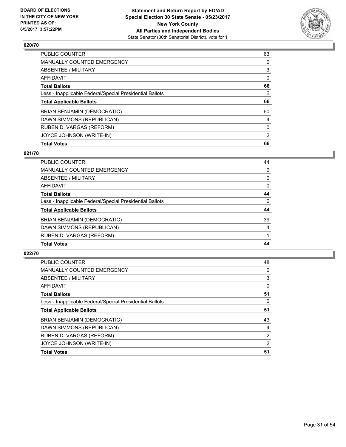

| <b>Total Votes</b>                                       | 66             |
|----------------------------------------------------------|----------------|
| JOYCE JOHNSON (WRITE-IN)                                 | $\overline{2}$ |
| RUBEN D. VARGAS (REFORM)                                 | 0              |
| DAWN SIMMONS (REPUBLICAN)                                | 4              |
| BRIAN BENJAMIN (DEMOCRATIC)                              | 60             |
| <b>Total Applicable Ballots</b>                          | 66             |
| Less - Inapplicable Federal/Special Presidential Ballots | 0              |
| <b>Total Ballots</b>                                     | 66             |
| AFFIDAVIT                                                | 0              |
| ABSENTEE / MILITARY                                      | 3              |
| MANUALLY COUNTED EMERGENCY                               | 0              |
| <b>PUBLIC COUNTER</b>                                    | 63             |

# **021/70**

| <b>PUBLIC COUNTER</b>                                    | 44             |
|----------------------------------------------------------|----------------|
| <b>MANUALLY COUNTED EMERGENCY</b>                        | 0              |
| ABSENTEE / MILITARY                                      | 0              |
| AFFIDAVIT                                                | 0              |
| <b>Total Ballots</b>                                     | 44             |
| Less - Inapplicable Federal/Special Presidential Ballots | 0              |
| <b>Total Applicable Ballots</b>                          | 44             |
| BRIAN BENJAMIN (DEMOCRATIC)                              | 39             |
| DAWN SIMMONS (REPUBLICAN)                                | $\overline{4}$ |
| RUBEN D. VARGAS (REFORM)                                 |                |
| <b>Total Votes</b>                                       | 44             |

| <b>PUBLIC COUNTER</b>                                    | 48             |
|----------------------------------------------------------|----------------|
| <b>MANUALLY COUNTED EMERGENCY</b>                        | 0              |
| ABSENTEE / MILITARY                                      | 3              |
| AFFIDAVIT                                                | 0              |
| <b>Total Ballots</b>                                     | 51             |
| Less - Inapplicable Federal/Special Presidential Ballots | 0              |
| <b>Total Applicable Ballots</b>                          | 51             |
| <b>BRIAN BENJAMIN (DEMOCRATIC)</b>                       | 43             |
| DAWN SIMMONS (REPUBLICAN)                                | 4              |
| RUBEN D. VARGAS (REFORM)                                 | $\overline{2}$ |
| JOYCE JOHNSON (WRITE-IN)                                 | 2              |
| <b>Total Votes</b>                                       | 51             |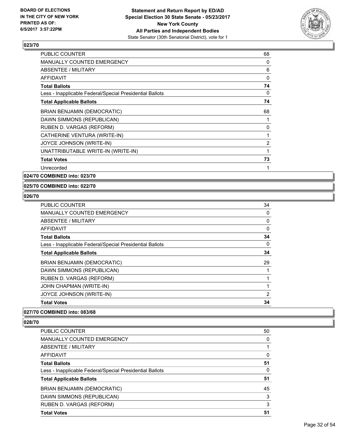

| <b>PUBLIC COUNTER</b>                                    | 68             |
|----------------------------------------------------------|----------------|
| <b>MANUALLY COUNTED EMERGENCY</b>                        | 0              |
| <b>ABSENTEE / MILITARY</b>                               | 6              |
| <b>AFFIDAVIT</b>                                         | $\Omega$       |
| <b>Total Ballots</b>                                     | 74             |
| Less - Inapplicable Federal/Special Presidential Ballots | 0              |
| <b>Total Applicable Ballots</b>                          | 74             |
| <b>BRIAN BENJAMIN (DEMOCRATIC)</b>                       | 68             |
| DAWN SIMMONS (REPUBLICAN)                                |                |
| RUBEN D. VARGAS (REFORM)                                 | 0              |
| CATHERINE VENTURA (WRITE-IN)                             |                |
| JOYCE JOHNSON (WRITE-IN)                                 | $\overline{2}$ |
| UNATTRIBUTABLE WRITE-IN (WRITE-IN)                       |                |
| <b>Total Votes</b>                                       | 73             |
| Unrecorded                                               | 1              |

**024/70 COMBINED into: 023/70**

### **025/70 COMBINED into: 022/70**

### **026/70**

| <b>PUBLIC COUNTER</b>                                    | 34 |
|----------------------------------------------------------|----|
| <b>MANUALLY COUNTED EMERGENCY</b>                        | 0  |
| ABSENTEE / MILITARY                                      | 0  |
| AFFIDAVIT                                                | 0  |
| <b>Total Ballots</b>                                     | 34 |
| Less - Inapplicable Federal/Special Presidential Ballots | 0  |
| <b>Total Applicable Ballots</b>                          | 34 |
| <b>BRIAN BENJAMIN (DEMOCRATIC)</b>                       | 29 |
| DAWN SIMMONS (REPUBLICAN)                                |    |
| RUBEN D. VARGAS (REFORM)                                 |    |
| JOHN CHAPMAN (WRITE-IN)                                  |    |
| JOYCE JOHNSON (WRITE-IN)                                 | 2  |
| <b>Total Votes</b>                                       | 34 |

# **027/70 COMBINED into: 083/68**

| PUBLIC COUNTER                                           | 50 |
|----------------------------------------------------------|----|
| <b>MANUALLY COUNTED EMERGENCY</b>                        | 0  |
| ABSENTEE / MILITARY                                      |    |
| AFFIDAVIT                                                | 0  |
| <b>Total Ballots</b>                                     | 51 |
| Less - Inapplicable Federal/Special Presidential Ballots | 0  |
| <b>Total Applicable Ballots</b>                          | 51 |
| BRIAN BENJAMIN (DEMOCRATIC)                              | 45 |
| DAWN SIMMONS (REPUBLICAN)                                | 3  |
| RUBEN D. VARGAS (REFORM)                                 | 3  |
| <b>Total Votes</b>                                       | 51 |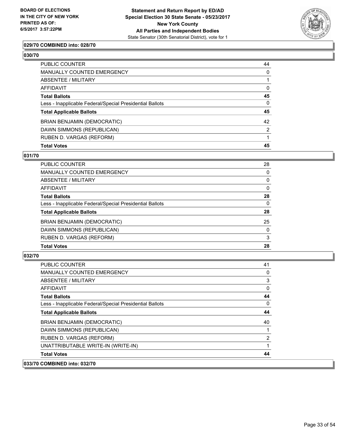

# **029/70 COMBINED into: 028/70**

#### **030/70**

| <b>Total Votes</b>                                       | 45             |
|----------------------------------------------------------|----------------|
| RUBEN D. VARGAS (REFORM)                                 |                |
| DAWN SIMMONS (REPUBLICAN)                                | $\overline{2}$ |
| BRIAN BENJAMIN (DEMOCRATIC)                              | 42             |
| <b>Total Applicable Ballots</b>                          | 45             |
| Less - Inapplicable Federal/Special Presidential Ballots | $\Omega$       |
| <b>Total Ballots</b>                                     | 45             |
| <b>AFFIDAVIT</b>                                         | $\mathbf{0}$   |
| <b>ABSENTEE / MILITARY</b>                               |                |
| <b>MANUALLY COUNTED EMERGENCY</b>                        | $\Omega$       |
| <b>PUBLIC COUNTER</b>                                    | 44             |

# **031/70**

| <b>PUBLIC COUNTER</b>                                    | 28       |
|----------------------------------------------------------|----------|
| <b>MANUALLY COUNTED EMERGENCY</b>                        | 0        |
| ABSENTEE / MILITARY                                      | 0        |
| AFFIDAVIT                                                | $\Omega$ |
| <b>Total Ballots</b>                                     | 28       |
| Less - Inapplicable Federal/Special Presidential Ballots | $\Omega$ |
| <b>Total Applicable Ballots</b>                          | 28       |
| <b>BRIAN BENJAMIN (DEMOCRATIC)</b>                       | 25       |
| DAWN SIMMONS (REPUBLICAN)                                | 0        |
| RUBEN D. VARGAS (REFORM)                                 | 3        |
| <b>Total Votes</b>                                       | 28       |

| <b>PUBLIC COUNTER</b>                                    | 41 |
|----------------------------------------------------------|----|
| <b>MANUALLY COUNTED EMERGENCY</b>                        | 0  |
| ABSENTEE / MILITARY                                      | 3  |
| AFFIDAVIT                                                | 0  |
| <b>Total Ballots</b>                                     | 44 |
| Less - Inapplicable Federal/Special Presidential Ballots | 0  |
| <b>Total Applicable Ballots</b>                          | 44 |
| <b>BRIAN BENJAMIN (DEMOCRATIC)</b>                       | 40 |
| DAWN SIMMONS (REPUBLICAN)                                |    |
| RUBEN D. VARGAS (REFORM)                                 | 2  |
| UNATTRIBUTABLE WRITE-IN (WRITE-IN)                       |    |
| <b>Total Votes</b>                                       | 44 |
| 033/70 COMBINED into: 032/70                             |    |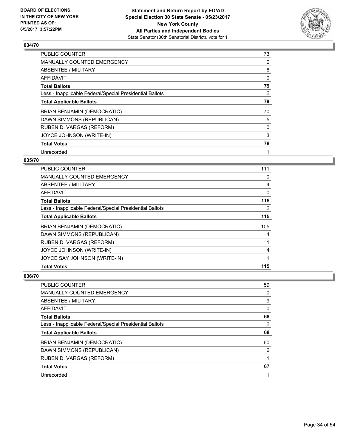

| <b>PUBLIC COUNTER</b>                                    | 73 |
|----------------------------------------------------------|----|
| <b>MANUALLY COUNTED EMERGENCY</b>                        | 0  |
| ABSENTEE / MILITARY                                      | 6  |
| <b>AFFIDAVIT</b>                                         | 0  |
| <b>Total Ballots</b>                                     | 79 |
| Less - Inapplicable Federal/Special Presidential Ballots | 0  |
| <b>Total Applicable Ballots</b>                          | 79 |
| <b>BRIAN BENJAMIN (DEMOCRATIC)</b>                       | 70 |
| DAWN SIMMONS (REPUBLICAN)                                | 5  |
| RUBEN D. VARGAS (REFORM)                                 | 0  |
| JOYCE JOHNSON (WRITE-IN)                                 | 3  |
| <b>Total Votes</b>                                       | 78 |
| Unrecorded                                               | 1  |

# **035/70**

| <b>PUBLIC COUNTER</b>                                    | 111 |
|----------------------------------------------------------|-----|
| <b>MANUALLY COUNTED EMERGENCY</b>                        | 0   |
| ABSENTEE / MILITARY                                      | 4   |
| <b>AFFIDAVIT</b>                                         | 0   |
| <b>Total Ballots</b>                                     | 115 |
| Less - Inapplicable Federal/Special Presidential Ballots | 0   |
| <b>Total Applicable Ballots</b>                          | 115 |
| <b>BRIAN BENJAMIN (DEMOCRATIC)</b>                       | 105 |
| DAWN SIMMONS (REPUBLICAN)                                | 4   |
| RUBEN D. VARGAS (REFORM)                                 | 1   |
| JOYCE JOHNSON (WRITE-IN)                                 | 4   |
| JOYCE SAY JOHNSON (WRITE-IN)                             | 1   |
| <b>Total Votes</b>                                       | 115 |

| <b>PUBLIC COUNTER</b>                                    | 59 |
|----------------------------------------------------------|----|
| <b>MANUALLY COUNTED EMERGENCY</b>                        | 0  |
| ABSENTEE / MILITARY                                      | 9  |
| AFFIDAVIT                                                | 0  |
| <b>Total Ballots</b>                                     | 68 |
| Less - Inapplicable Federal/Special Presidential Ballots | 0  |
|                                                          |    |
| <b>Total Applicable Ballots</b>                          | 68 |
| BRIAN BENJAMIN (DEMOCRATIC)                              | 60 |
| DAWN SIMMONS (REPUBLICAN)                                | 6  |
| RUBEN D. VARGAS (REFORM)                                 |    |
| <b>Total Votes</b>                                       | 67 |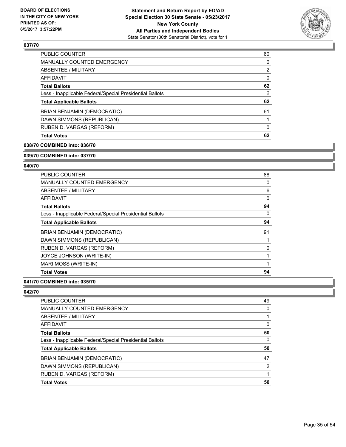

| 60             |
|----------------|
| 0              |
| $\overline{2}$ |
| 0              |
| 62             |
| 0              |
| 62             |
| 61             |
|                |
| 0              |
| 62             |
|                |

### **038/70 COMBINED into: 036/70**

#### **039/70 COMBINED into: 037/70**

### **040/70**

| <b>PUBLIC COUNTER</b>                                    | 88 |
|----------------------------------------------------------|----|
| <b>MANUALLY COUNTED EMERGENCY</b>                        | 0  |
| ABSENTEE / MILITARY                                      | 6  |
| <b>AFFIDAVIT</b>                                         | 0  |
| <b>Total Ballots</b>                                     | 94 |
| Less - Inapplicable Federal/Special Presidential Ballots | 0  |
| <b>Total Applicable Ballots</b>                          | 94 |
| BRIAN BENJAMIN (DEMOCRATIC)                              | 91 |
| DAWN SIMMONS (REPUBLICAN)                                |    |
| RUBEN D. VARGAS (REFORM)                                 | 0  |
| JOYCE JOHNSON (WRITE-IN)                                 |    |
| MARI MOSS (WRITE-IN)                                     | 1  |
| <b>Total Votes</b>                                       | 94 |

### **041/70 COMBINED into: 035/70**

| <b>PUBLIC COUNTER</b>                                    | 49 |
|----------------------------------------------------------|----|
| MANUALLY COUNTED EMERGENCY                               | 0  |
| ABSENTEE / MILITARY                                      |    |
| AFFIDAVIT                                                | 0  |
| <b>Total Ballots</b>                                     | 50 |
| Less - Inapplicable Federal/Special Presidential Ballots | 0  |
| <b>Total Applicable Ballots</b>                          | 50 |
| BRIAN BENJAMIN (DEMOCRATIC)                              | 47 |
| DAWN SIMMONS (REPUBLICAN)                                | 2  |
| RUBEN D. VARGAS (REFORM)                                 |    |
| <b>Total Votes</b>                                       | 50 |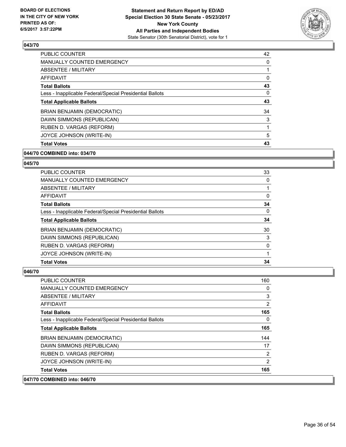

| <b>PUBLIC COUNTER</b>                                    | 42       |
|----------------------------------------------------------|----------|
| <b>MANUALLY COUNTED EMERGENCY</b>                        | 0        |
| ABSENTEE / MILITARY                                      |          |
| <b>AFFIDAVIT</b>                                         | 0        |
| <b>Total Ballots</b>                                     | 43       |
| Less - Inapplicable Federal/Special Presidential Ballots | $\Omega$ |
| <b>Total Applicable Ballots</b>                          | 43       |
| <b>BRIAN BENJAMIN (DEMOCRATIC)</b>                       | 34       |
| DAWN SIMMONS (REPUBLICAN)                                | 3        |
| RUBEN D. VARGAS (REFORM)                                 |          |
| JOYCE JOHNSON (WRITE-IN)                                 | 5        |
| <b>Total Votes</b>                                       | 43       |

# **044/70 COMBINED into: 034/70**

### **045/70**

| <b>PUBLIC COUNTER</b>                                    | 33 |
|----------------------------------------------------------|----|
| <b>MANUALLY COUNTED EMERGENCY</b>                        | 0  |
| ABSENTEE / MILITARY                                      |    |
| AFFIDAVIT                                                | 0  |
| <b>Total Ballots</b>                                     | 34 |
| Less - Inapplicable Federal/Special Presidential Ballots | 0  |
| <b>Total Applicable Ballots</b>                          | 34 |
| <b>BRIAN BENJAMIN (DEMOCRATIC)</b>                       | 30 |
| DAWN SIMMONS (REPUBLICAN)                                | 3  |
| RUBEN D. VARGAS (REFORM)                                 | 0  |
| JOYCE JOHNSON (WRITE-IN)                                 |    |
| <b>Total Votes</b>                                       | 34 |

| 047/70 COMBINED into: 046/70                             |              |
|----------------------------------------------------------|--------------|
| <b>Total Votes</b>                                       | 165          |
| JOYCE JOHNSON (WRITE-IN)                                 | 2            |
| RUBEN D. VARGAS (REFORM)                                 | 2            |
| DAWN SIMMONS (REPUBLICAN)                                | 17           |
| <b>BRIAN BENJAMIN (DEMOCRATIC)</b>                       | 144          |
| <b>Total Applicable Ballots</b>                          | 165          |
| Less - Inapplicable Federal/Special Presidential Ballots | $\mathbf{0}$ |
| <b>Total Ballots</b>                                     | 165          |
| AFFIDAVIT                                                | 2            |
| ABSENTEE / MILITARY                                      | 3            |
| MANUALLY COUNTED EMERGENCY                               | $\mathbf{0}$ |
| <b>PUBLIC COUNTER</b>                                    | 160          |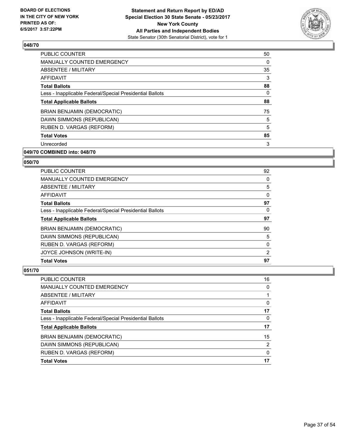

| <b>PUBLIC COUNTER</b>                                    | 50 |
|----------------------------------------------------------|----|
| <b>MANUALLY COUNTED EMERGENCY</b>                        | 0  |
| ABSENTEE / MILITARY                                      | 35 |
| AFFIDAVIT                                                | 3  |
| <b>Total Ballots</b>                                     | 88 |
| Less - Inapplicable Federal/Special Presidential Ballots | 0  |
| <b>Total Applicable Ballots</b>                          | 88 |
| BRIAN BENJAMIN (DEMOCRATIC)                              | 75 |
| DAWN SIMMONS (REPUBLICAN)                                | 5  |
| RUBEN D. VARGAS (REFORM)                                 | 5  |
| <b>Total Votes</b>                                       | 85 |
| Unrecorded                                               | 3  |
|                                                          |    |

# **049/70 COMBINED into: 048/70**

### **050/70**

| <b>PUBLIC COUNTER</b>                                    | 92             |
|----------------------------------------------------------|----------------|
| <b>MANUALLY COUNTED EMERGENCY</b>                        | 0              |
| ABSENTEE / MILITARY                                      | 5              |
| <b>AFFIDAVIT</b>                                         | $\Omega$       |
| <b>Total Ballots</b>                                     | 97             |
| Less - Inapplicable Federal/Special Presidential Ballots | 0              |
| <b>Total Applicable Ballots</b>                          | 97             |
| <b>BRIAN BENJAMIN (DEMOCRATIC)</b>                       | 90             |
| DAWN SIMMONS (REPUBLICAN)                                | 5              |
| RUBEN D. VARGAS (REFORM)                                 | $\Omega$       |
| JOYCE JOHNSON (WRITE-IN)                                 | $\overline{2}$ |
| <b>Total Votes</b>                                       | 97             |

| <b>Total Votes</b>                                       | 17 |
|----------------------------------------------------------|----|
| RUBEN D. VARGAS (REFORM)                                 | 0  |
| DAWN SIMMONS (REPUBLICAN)                                | 2  |
| BRIAN BENJAMIN (DEMOCRATIC)                              | 15 |
| <b>Total Applicable Ballots</b>                          | 17 |
| Less - Inapplicable Federal/Special Presidential Ballots | 0  |
| <b>Total Ballots</b>                                     | 17 |
| <b>AFFIDAVIT</b>                                         | 0  |
| ABSENTEE / MILITARY                                      |    |
| <b>MANUALLY COUNTED EMERGENCY</b>                        | 0  |
| <b>PUBLIC COUNTER</b>                                    | 16 |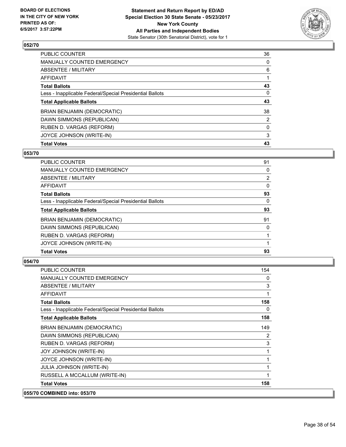

| <b>Total Votes</b>                                       | 43             |
|----------------------------------------------------------|----------------|
| JOYCE JOHNSON (WRITE-IN)                                 | 3              |
| RUBEN D. VARGAS (REFORM)                                 | 0              |
| DAWN SIMMONS (REPUBLICAN)                                | $\overline{2}$ |
| BRIAN BENJAMIN (DEMOCRATIC)                              | 38             |
| <b>Total Applicable Ballots</b>                          | 43             |
| Less - Inapplicable Federal/Special Presidential Ballots | 0              |
| <b>Total Ballots</b>                                     | 43             |
| AFFIDAVIT                                                |                |
| ABSENTEE / MILITARY                                      | 6              |
| MANUALLY COUNTED EMERGENCY                               | 0              |
| <b>PUBLIC COUNTER</b>                                    | 36             |

# **053/70**

| PUBLIC COUNTER                                           | 91             |
|----------------------------------------------------------|----------------|
| <b>MANUALLY COUNTED EMERGENCY</b>                        | 0              |
| ABSENTEE / MILITARY                                      | $\overline{2}$ |
| <b>AFFIDAVIT</b>                                         | 0              |
| <b>Total Ballots</b>                                     | 93             |
| Less - Inapplicable Federal/Special Presidential Ballots | 0              |
| <b>Total Applicable Ballots</b>                          | 93             |
| BRIAN BENJAMIN (DEMOCRATIC)                              | 91             |
| DAWN SIMMONS (REPUBLICAN)                                | 0              |
| RUBEN D. VARGAS (REFORM)                                 |                |
| JOYCE JOHNSON (WRITE-IN)                                 |                |
| <b>Total Votes</b>                                       | 93             |

| <b>PUBLIC COUNTER</b>                                    | 154          |
|----------------------------------------------------------|--------------|
| <b>MANUALLY COUNTED EMERGENCY</b>                        | $\mathbf{0}$ |
| ABSENTEE / MILITARY                                      | 3            |
| <b>AFFIDAVIT</b>                                         | 1            |
| <b>Total Ballots</b>                                     | 158          |
| Less - Inapplicable Federal/Special Presidential Ballots | 0            |
| <b>Total Applicable Ballots</b>                          | 158          |
| BRIAN BENJAMIN (DEMOCRATIC)                              | 149          |
| DAWN SIMMONS (REPUBLICAN)                                | 2            |
| RUBEN D. VARGAS (REFORM)                                 | 3            |
| <b>JOY JOHNSON (WRITE-IN)</b>                            | 1            |
| JOYCE JOHNSON (WRITE-IN)                                 | 1            |
| JULIA JOHNSON (WRITE-IN)                                 | 1            |
| RUSSELL A MCCALLUM (WRITE-IN)                            | $\mathbf 1$  |
| <b>Total Votes</b>                                       | 158          |
| 055/70 COMBINED into: 053/70                             |              |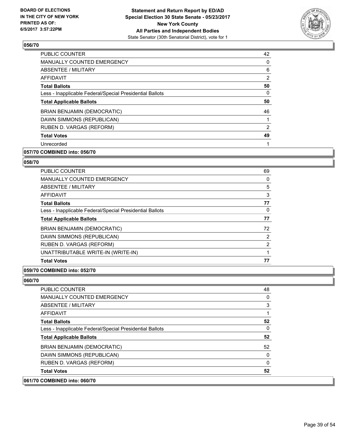

| 42             |
|----------------|
| 0              |
| 6              |
| $\overline{2}$ |
| 50             |
| 0              |
| 50             |
| 46             |
|                |
| 2              |
| 49             |
|                |
|                |

# **057/70 COMBINED into: 056/70**

# **058/70**

| <b>PUBLIC COUNTER</b>                                    | 69             |
|----------------------------------------------------------|----------------|
| <b>MANUALLY COUNTED EMERGENCY</b>                        | 0              |
| ABSENTEE / MILITARY                                      | 5              |
| <b>AFFIDAVIT</b>                                         | 3              |
| <b>Total Ballots</b>                                     | 77             |
| Less - Inapplicable Federal/Special Presidential Ballots | 0              |
| <b>Total Applicable Ballots</b>                          | 77             |
| <b>BRIAN BENJAMIN (DEMOCRATIC)</b>                       | 72             |
| DAWN SIMMONS (REPUBLICAN)                                | $\overline{2}$ |
| RUBEN D. VARGAS (REFORM)                                 | $\overline{2}$ |
| UNATTRIBUTABLE WRITE-IN (WRITE-IN)                       |                |
| <b>Total Votes</b>                                       | 77             |

# **059/70 COMBINED into: 052/70**

**060/70** 

| <b>COMBINED into: 060/70</b>                             |    |
|----------------------------------------------------------|----|
| <b>Total Votes</b>                                       | 52 |
| RUBEN D. VARGAS (REFORM)                                 | 0  |
| DAWN SIMMONS (REPUBLICAN)                                | 0  |
| BRIAN BENJAMIN (DEMOCRATIC)                              | 52 |
| <b>Total Applicable Ballots</b>                          | 52 |
| Less - Inapplicable Federal/Special Presidential Ballots | 0  |
| <b>Total Ballots</b>                                     | 52 |
| AFFIDAVIT                                                |    |
| ABSENTEE / MILITARY                                      | 3  |
| MANUALLY COUNTED EMERGENCY                               | 0  |
| <b>PUBLIC COUNTER</b>                                    | 48 |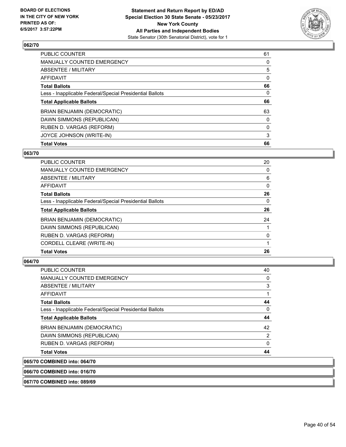

| <b>Total Votes</b>                                       | 66 |
|----------------------------------------------------------|----|
| JOYCE JOHNSON (WRITE-IN)                                 | 3  |
| RUBEN D. VARGAS (REFORM)                                 | 0  |
| DAWN SIMMONS (REPUBLICAN)                                | 0  |
| BRIAN BENJAMIN (DEMOCRATIC)                              | 63 |
| <b>Total Applicable Ballots</b>                          | 66 |
| Less - Inapplicable Federal/Special Presidential Ballots | 0  |
| <b>Total Ballots</b>                                     | 66 |
| AFFIDAVIT                                                | 0  |
| ABSENTEE / MILITARY                                      | 5  |
| MANUALLY COUNTED EMERGENCY                               | 0  |
| <b>PUBLIC COUNTER</b>                                    | 61 |

# **063/70**

| PUBLIC COUNTER                                           | 20 |
|----------------------------------------------------------|----|
| <b>MANUALLY COUNTED EMERGENCY</b>                        | 0  |
| ABSENTEE / MILITARY                                      | 6  |
| AFFIDAVIT                                                | 0  |
| <b>Total Ballots</b>                                     | 26 |
| Less - Inapplicable Federal/Special Presidential Ballots | 0  |
| <b>Total Applicable Ballots</b>                          | 26 |
| <b>BRIAN BENJAMIN (DEMOCRATIC)</b>                       | 24 |
| DAWN SIMMONS (REPUBLICAN)                                |    |
| RUBEN D. VARGAS (REFORM)                                 | 0  |
| CORDELL CLEARE (WRITE-IN)                                |    |
| <b>Total Votes</b>                                       | 26 |

# **064/70**

| 065/70 COMBINED into: 064/70                             |    |
|----------------------------------------------------------|----|
| <b>Total Votes</b>                                       | 44 |
| RUBEN D. VARGAS (REFORM)                                 | 0  |
| DAWN SIMMONS (REPUBLICAN)                                | 2  |
| <b>BRIAN BENJAMIN (DEMOCRATIC)</b>                       | 42 |
| <b>Total Applicable Ballots</b>                          | 44 |
| Less - Inapplicable Federal/Special Presidential Ballots | 0  |
| <b>Total Ballots</b>                                     | 44 |
| <b>AFFIDAVIT</b>                                         |    |
| ABSENTEE / MILITARY                                      | 3  |
| <b>MANUALLY COUNTED EMERGENCY</b>                        | 0  |
| <b>PUBLIC COUNTER</b>                                    | 40 |

**066/70 COMBINED into: 016/70**

**067/70 COMBINED into: 089/69**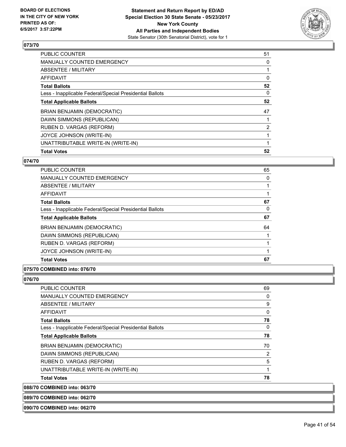

| <b>PUBLIC COUNTER</b>                                    | 51             |
|----------------------------------------------------------|----------------|
| <b>MANUALLY COUNTED EMERGENCY</b>                        | 0              |
| ABSENTEE / MILITARY                                      |                |
| <b>AFFIDAVIT</b>                                         | 0              |
| <b>Total Ballots</b>                                     | 52             |
| Less - Inapplicable Federal/Special Presidential Ballots | 0              |
| <b>Total Applicable Ballots</b>                          | 52             |
| <b>BRIAN BENJAMIN (DEMOCRATIC)</b>                       | 47             |
| DAWN SIMMONS (REPUBLICAN)                                |                |
| RUBEN D. VARGAS (REFORM)                                 | $\overline{2}$ |
| JOYCE JOHNSON (WRITE-IN)                                 |                |
| UNATTRIBUTABLE WRITE-IN (WRITE-IN)                       |                |
| <b>Total Votes</b>                                       | 52             |
|                                                          |                |

# **074/70**

| <b>PUBLIC COUNTER</b>                                    | 65 |
|----------------------------------------------------------|----|
| <b>MANUALLY COUNTED EMERGENCY</b>                        | 0  |
| ABSENTEE / MILITARY                                      |    |
| <b>AFFIDAVIT</b>                                         |    |
| <b>Total Ballots</b>                                     | 67 |
| Less - Inapplicable Federal/Special Presidential Ballots | 0  |
| <b>Total Applicable Ballots</b>                          | 67 |
| <b>BRIAN BENJAMIN (DEMOCRATIC)</b>                       | 64 |
| DAWN SIMMONS (REPUBLICAN)                                |    |
| RUBEN D. VARGAS (REFORM)                                 | 1  |
| JOYCE JOHNSON (WRITE-IN)                                 | 1  |
| <b>Total Votes</b>                                       | 67 |

# **075/70 COMBINED into: 076/70**

# **076/70**

**088/70** 

| <b>PUBLIC COUNTER</b>                                    | 69 |
|----------------------------------------------------------|----|
| MANUALLY COUNTED EMERGENCY                               | 0  |
| ABSENTEE / MILITARY                                      | 9  |
| AFFIDAVIT                                                | 0  |
| <b>Total Ballots</b>                                     | 78 |
| Less - Inapplicable Federal/Special Presidential Ballots | 0  |
| <b>Total Applicable Ballots</b>                          | 78 |
| BRIAN BENJAMIN (DEMOCRATIC)                              | 70 |
| DAWN SIMMONS (REPUBLICAN)                                | 2  |
| RUBEN D. VARGAS (REFORM)                                 | 5  |
| UNATTRIBUTABLE WRITE-IN (WRITE-IN)                       | 1  |
| <b>Total Votes</b>                                       | 78 |
| <b>COMBINED into: 063/70</b>                             |    |

**089/70 COMBINED into: 062/70**

**090/70 COMBINED into: 062/70**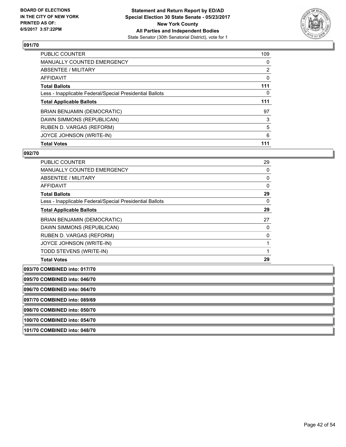

| <b>PUBLIC COUNTER</b>                                    | 109            |
|----------------------------------------------------------|----------------|
| <b>MANUALLY COUNTED EMERGENCY</b>                        | 0              |
| ABSENTEE / MILITARY                                      | $\overline{2}$ |
| AFFIDAVIT                                                | 0              |
| <b>Total Ballots</b>                                     | 111            |
| Less - Inapplicable Federal/Special Presidential Ballots | 0              |
| <b>Total Applicable Ballots</b>                          | 111            |
| BRIAN BENJAMIN (DEMOCRATIC)                              | 97             |
| DAWN SIMMONS (REPUBLICAN)                                | 3              |
| RUBEN D. VARGAS (REFORM)                                 | 5              |
| JOYCE JOHNSON (WRITE-IN)                                 | 6              |
| <b>Total Votes</b>                                       | 111            |

# **092/70**

| <b>Total Ballots</b>                                     | 29 |
|----------------------------------------------------------|----|
| Less - Inapplicable Federal/Special Presidential Ballots | 0  |
| <b>Total Applicable Ballots</b>                          | 29 |
| <b>BRIAN BENJAMIN (DEMOCRATIC)</b>                       | 27 |
| DAWN SIMMONS (REPUBLICAN)                                | 0  |
| RUBEN D. VARGAS (REFORM)                                 | 0  |
| JOYCE JOHNSON (WRITE-IN)                                 | 1  |
| TODD STEVENS (WRITE-IN)                                  | 1  |
|                                                          |    |

**095/70 COMBINED into: 046/70 096/70 COMBINED into: 064/70 097/70 COMBINED into: 089/69 098/70 COMBINED into: 050/70 100/70 COMBINED into: 054/70 101/70 COMBINED into: 048/70**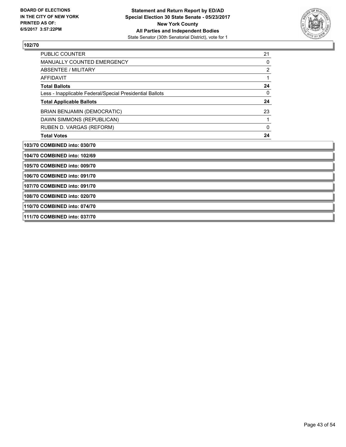**111/70 COMBINED into: 037/70**



# **102/70**

| PUBLIC COUNTER                                           | 21             |
|----------------------------------------------------------|----------------|
| <b>MANUALLY COUNTED EMERGENCY</b>                        | 0              |
| <b>ABSENTEE / MILITARY</b>                               | $\overline{2}$ |
| <b>AFFIDAVIT</b>                                         | 1              |
| <b>Total Ballots</b>                                     | 24             |
| Less - Inapplicable Federal/Special Presidential Ballots | 0              |
| <b>Total Applicable Ballots</b>                          | 24             |
| BRIAN BENJAMIN (DEMOCRATIC)                              | 23             |
| DAWN SIMMONS (REPUBLICAN)                                | 1              |
| RUBEN D. VARGAS (REFORM)                                 | 0              |
| <b>Total Votes</b>                                       | 24             |
| 103/70 COMBINED into: 030/70                             |                |
| 104/70 COMBINED into: 102/69                             |                |
| 105/70 COMBINED into: 009/70                             |                |
| 106/70 COMBINED into: 091/70                             |                |
| 107/70 COMBINED into: 091/70                             |                |
| 108/70 COMBINED into: 020/70                             |                |
| 110/70 COMBINED into: 074/70                             |                |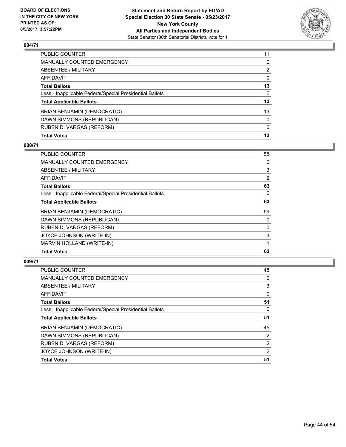

| PUBLIC COUNTER                                           | 11           |
|----------------------------------------------------------|--------------|
| MANUALLY COUNTED EMERGENCY                               | $\Omega$     |
| <b>ABSENTEE / MILITARY</b>                               | 2            |
| <b>AFFIDAVIT</b>                                         | $\mathbf{0}$ |
| <b>Total Ballots</b>                                     | 13           |
| Less - Inapplicable Federal/Special Presidential Ballots | 0            |
| <b>Total Applicable Ballots</b>                          | 13           |
| BRIAN BENJAMIN (DEMOCRATIC)                              | 13           |
| DAWN SIMMONS (REPUBLICAN)                                | $\mathbf{0}$ |
| RUBEN D. VARGAS (REFORM)                                 | $\mathbf{0}$ |
| <b>Total Votes</b>                                       | 13           |

# **008/71**

| PUBLIC COUNTER                                           | 58 |
|----------------------------------------------------------|----|
| MANUALLY COUNTED EMERGENCY                               | 0  |
| ABSENTEE / MILITARY                                      | 3  |
| AFFIDAVIT                                                | 2  |
| <b>Total Ballots</b>                                     | 63 |
| Less - Inapplicable Federal/Special Presidential Ballots | 0  |
| <b>Total Applicable Ballots</b>                          | 63 |
| BRIAN BENJAMIN (DEMOCRATIC)                              | 59 |
| DAWN SIMMONS (REPUBLICAN)                                | 0  |
| RUBEN D. VARGAS (REFORM)                                 | 0  |
| JOYCE JOHNSON (WRITE-IN)                                 | 3  |
| MARVIN HOLLAND (WRITE-IN)                                |    |
| <b>Total Votes</b>                                       | 63 |

| <b>PUBLIC COUNTER</b>                                    | 48 |
|----------------------------------------------------------|----|
| <b>MANUALLY COUNTED EMERGENCY</b>                        | 0  |
| <b>ABSENTEE / MILITARY</b>                               | 3  |
| <b>AFFIDAVIT</b>                                         | 0  |
| <b>Total Ballots</b>                                     | 51 |
| Less - Inapplicable Federal/Special Presidential Ballots | 0  |
| <b>Total Applicable Ballots</b>                          | 51 |
| BRIAN BENJAMIN (DEMOCRATIC)                              | 45 |
| DAWN SIMMONS (REPUBLICAN)                                | 2  |
| RUBEN D. VARGAS (REFORM)                                 | 2  |
| JOYCE JOHNSON (WRITE-IN)                                 | 2  |
| <b>Total Votes</b>                                       | 51 |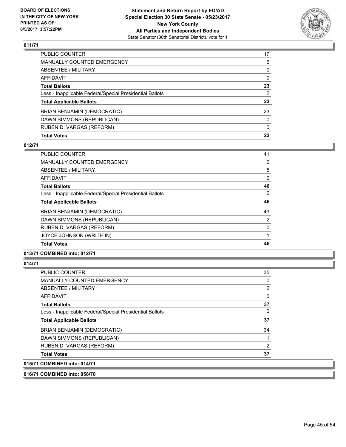

| PUBLIC COUNTER                                           | 17           |
|----------------------------------------------------------|--------------|
| <b>MANUALLY COUNTED EMERGENCY</b>                        | 6            |
| ABSENTEE / MILITARY                                      | 0            |
| AFFIDAVIT                                                | $\Omega$     |
| <b>Total Ballots</b>                                     | 23           |
| Less - Inapplicable Federal/Special Presidential Ballots | 0            |
| <b>Total Applicable Ballots</b>                          | 23           |
| BRIAN BENJAMIN (DEMOCRATIC)                              | 23           |
| DAWN SIMMONS (REPUBLICAN)                                | $\mathbf{0}$ |
| RUBEN D. VARGAS (REFORM)                                 | $\mathbf{0}$ |
| <b>Total Votes</b>                                       | 23           |

### **012/71**

| <b>Total Votes</b>                                       | 46       |
|----------------------------------------------------------|----------|
| JOYCE JOHNSON (WRITE-IN)                                 | 1        |
| RUBEN D. VARGAS (REFORM)                                 | $\Omega$ |
| DAWN SIMMONS (REPUBLICAN)                                | 2        |
| BRIAN BENJAMIN (DEMOCRATIC)                              | 43       |
| <b>Total Applicable Ballots</b>                          | 46       |
| Less - Inapplicable Federal/Special Presidential Ballots | 0        |
| <b>Total Ballots</b>                                     | 46       |
| AFFIDAVIT                                                | 0        |
| ABSENTEE / MILITARY                                      | 5        |
| MANUALLY COUNTED EMERGENCY                               | 0        |
| PUBLIC COUNTER                                           | 41       |

# **013/71 COMBINED into: 012/71**

### **014/71**

| <b>PUBLIC COUNTER</b>                                    | 35 |
|----------------------------------------------------------|----|
| <b>MANUALLY COUNTED EMERGENCY</b>                        | 0  |
| ABSENTEE / MILITARY                                      | 2  |
| AFFIDAVIT                                                | 0  |
| <b>Total Ballots</b>                                     | 37 |
| Less - Inapplicable Federal/Special Presidential Ballots | 0  |
| <b>Total Applicable Ballots</b>                          | 37 |
| <b>BRIAN BENJAMIN (DEMOCRATIC)</b>                       | 34 |
| DAWN SIMMONS (REPUBLICAN)                                |    |
| RUBEN D. VARGAS (REFORM)                                 | 2  |
| <b>Total Votes</b>                                       | 37 |
| 015/71 COMBINED into: 014/71                             |    |

# **016/71 COMBINED into: 058/70**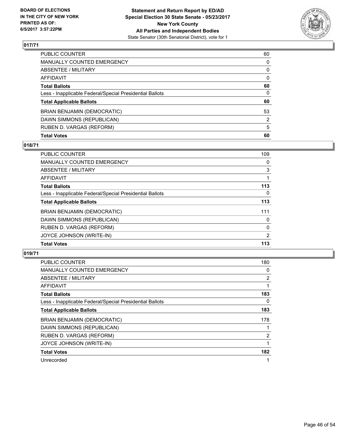

| <b>Total Votes</b>                                       | 60       |
|----------------------------------------------------------|----------|
| RUBEN D. VARGAS (REFORM)                                 | 5        |
| DAWN SIMMONS (REPUBLICAN)                                | 2        |
| BRIAN BENJAMIN (DEMOCRATIC)                              | 53       |
| <b>Total Applicable Ballots</b>                          | 60       |
| Less - Inapplicable Federal/Special Presidential Ballots | 0        |
| <b>Total Ballots</b>                                     | 60       |
| <b>AFFIDAVIT</b>                                         | $\Omega$ |
| <b>ABSENTEE / MILITARY</b>                               | 0        |
| <b>MANUALLY COUNTED EMERGENCY</b>                        | 0        |
| PUBLIC COUNTER                                           | 60       |

# **018/71**

| PUBLIC COUNTER                                           | 109 |
|----------------------------------------------------------|-----|
| MANUALLY COUNTED EMERGENCY                               | 0   |
| ABSENTEE / MILITARY                                      | 3   |
| AFFIDAVIT                                                |     |
| <b>Total Ballots</b>                                     | 113 |
| Less - Inapplicable Federal/Special Presidential Ballots | 0   |
| <b>Total Applicable Ballots</b>                          | 113 |
| BRIAN BENJAMIN (DEMOCRATIC)                              | 111 |
| DAWN SIMMONS (REPUBLICAN)                                | 0   |
| RUBEN D. VARGAS (REFORM)                                 | 0   |
| JOYCE JOHNSON (WRITE-IN)                                 | 2   |
| <b>Total Votes</b>                                       | 113 |

| <b>PUBLIC COUNTER</b>                                    | 180            |
|----------------------------------------------------------|----------------|
| <b>MANUALLY COUNTED EMERGENCY</b>                        | 0              |
| ABSENTEE / MILITARY                                      | $\overline{2}$ |
| <b>AFFIDAVIT</b>                                         |                |
| <b>Total Ballots</b>                                     | 183            |
| Less - Inapplicable Federal/Special Presidential Ballots | 0              |
| <b>Total Applicable Ballots</b>                          | 183            |
| BRIAN BENJAMIN (DEMOCRATIC)                              | 178            |
| DAWN SIMMONS (REPUBLICAN)                                |                |
| RUBEN D. VARGAS (REFORM)                                 | 2              |
| JOYCE JOHNSON (WRITE-IN)                                 |                |
| <b>Total Votes</b>                                       | 182            |
| Unrecorded                                               |                |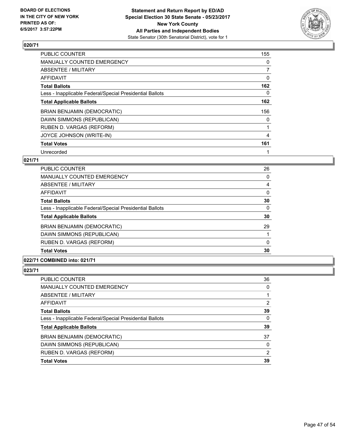

| PUBLIC COUNTER                                           | 155 |
|----------------------------------------------------------|-----|
| <b>MANUALLY COUNTED EMERGENCY</b>                        | 0   |
| ABSENTEE / MILITARY                                      | 7   |
| AFFIDAVIT                                                | 0   |
| <b>Total Ballots</b>                                     | 162 |
| Less - Inapplicable Federal/Special Presidential Ballots | 0   |
| <b>Total Applicable Ballots</b>                          | 162 |
| BRIAN BENJAMIN (DEMOCRATIC)                              | 156 |
| DAWN SIMMONS (REPUBLICAN)                                | 0   |
| RUBEN D. VARGAS (REFORM)                                 |     |
| JOYCE JOHNSON (WRITE-IN)                                 | 4   |
| <b>Total Votes</b>                                       | 161 |
| Unrecorded                                               |     |

# **021/71**

| <b>PUBLIC COUNTER</b>                                    | 26 |
|----------------------------------------------------------|----|
| <b>MANUALLY COUNTED EMERGENCY</b>                        | 0  |
| ABSENTEE / MILITARY                                      | 4  |
| <b>AFFIDAVIT</b>                                         | 0  |
| <b>Total Ballots</b>                                     | 30 |
| Less - Inapplicable Federal/Special Presidential Ballots | 0  |
| <b>Total Applicable Ballots</b>                          | 30 |
| <b>BRIAN BENJAMIN (DEMOCRATIC)</b>                       | 29 |
| DAWN SIMMONS (REPUBLICAN)                                |    |
| RUBEN D. VARGAS (REFORM)                                 | 0  |
| <b>Total Votes</b>                                       | 30 |

# **022/71 COMBINED into: 021/71**

| <b>Total Votes</b>                                       | 39             |
|----------------------------------------------------------|----------------|
| RUBEN D. VARGAS (REFORM)                                 | 2              |
| DAWN SIMMONS (REPUBLICAN)                                | $\Omega$       |
| BRIAN BENJAMIN (DEMOCRATIC)                              | 37             |
| <b>Total Applicable Ballots</b>                          | 39             |
| Less - Inapplicable Federal/Special Presidential Ballots | 0              |
| <b>Total Ballots</b>                                     | 39             |
| <b>AFFIDAVIT</b>                                         | $\overline{2}$ |
| ABSENTEE / MILITARY                                      |                |
| <b>MANUALLY COUNTED EMERGENCY</b>                        | 0              |
| PUBLIC COUNTER                                           | 36             |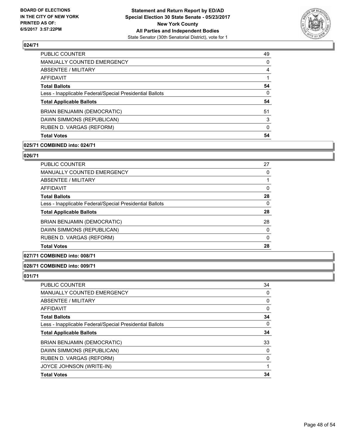

| MANUALLY COUNTED EMERGENCY<br>ABSENTEE / MILITARY<br>AFFIDAVIT<br><b>Total Ballots</b><br>Less - Inapplicable Federal/Special Presidential Ballots<br><b>Total Applicable Ballots</b><br>BRIAN BENJAMIN (DEMOCRATIC)<br>DAWN SIMMONS (REPUBLICAN)<br>RUBEN D. VARGAS (REFORM)<br><b>Total Votes</b> | <b>PUBLIC COUNTER</b> | 49 |
|-----------------------------------------------------------------------------------------------------------------------------------------------------------------------------------------------------------------------------------------------------------------------------------------------------|-----------------------|----|
|                                                                                                                                                                                                                                                                                                     |                       | 0  |
|                                                                                                                                                                                                                                                                                                     |                       | 4  |
|                                                                                                                                                                                                                                                                                                     |                       |    |
|                                                                                                                                                                                                                                                                                                     |                       | 54 |
|                                                                                                                                                                                                                                                                                                     |                       | 0  |
|                                                                                                                                                                                                                                                                                                     |                       | 54 |
|                                                                                                                                                                                                                                                                                                     |                       | 51 |
|                                                                                                                                                                                                                                                                                                     |                       | 3  |
|                                                                                                                                                                                                                                                                                                     |                       | 0  |
|                                                                                                                                                                                                                                                                                                     |                       | 54 |

### **025/71 COMBINED into: 024/71**

# **026/71**

| PUBLIC COUNTER                                           | 27 |
|----------------------------------------------------------|----|
| <b>MANUALLY COUNTED EMERGENCY</b>                        | 0  |
| ABSENTEE / MILITARY                                      |    |
| AFFIDAVIT                                                | 0  |
| <b>Total Ballots</b>                                     | 28 |
| Less - Inapplicable Federal/Special Presidential Ballots | 0  |
| <b>Total Applicable Ballots</b>                          | 28 |
| BRIAN BENJAMIN (DEMOCRATIC)                              | 28 |
| DAWN SIMMONS (REPUBLICAN)                                | 0  |
| RUBEN D. VARGAS (REFORM)                                 | 0  |
| <b>Total Votes</b>                                       | 28 |

# **027/71 COMBINED into: 008/71**

### **028/71 COMBINED into: 009/71**

| PUBLIC COUNTER                                           | 34       |
|----------------------------------------------------------|----------|
| <b>MANUALLY COUNTED EMERGENCY</b>                        | 0        |
| <b>ABSENTEE / MILITARY</b>                               | 0        |
| <b>AFFIDAVIT</b>                                         | 0        |
| <b>Total Ballots</b>                                     | 34       |
| Less - Inapplicable Federal/Special Presidential Ballots | $\Omega$ |
| <b>Total Applicable Ballots</b>                          | 34       |
| BRIAN BENJAMIN (DEMOCRATIC)                              | 33       |
| DAWN SIMMONS (REPUBLICAN)                                | 0        |
| RUBEN D. VARGAS (REFORM)                                 | $\Omega$ |
| JOYCE JOHNSON (WRITE-IN)                                 |          |
| <b>Total Votes</b>                                       | 34       |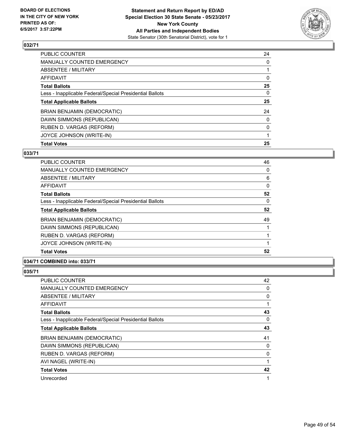

| <b>Total Votes</b>                                       | 25 |
|----------------------------------------------------------|----|
| JOYCE JOHNSON (WRITE-IN)                                 |    |
| RUBEN D. VARGAS (REFORM)                                 | 0  |
| DAWN SIMMONS (REPUBLICAN)                                | 0  |
| BRIAN BENJAMIN (DEMOCRATIC)                              | 24 |
| <b>Total Applicable Ballots</b>                          | 25 |
| Less - Inapplicable Federal/Special Presidential Ballots | 0  |
| <b>Total Ballots</b>                                     | 25 |
| AFFIDAVIT                                                | 0  |
| ABSENTEE / MILITARY                                      |    |
| MANUALLY COUNTED EMERGENCY                               | 0  |
| <b>PUBLIC COUNTER</b>                                    | 24 |

# **033/71**

| <b>PUBLIC COUNTER</b>                                    | 46 |
|----------------------------------------------------------|----|
| <b>MANUALLY COUNTED EMERGENCY</b>                        | 0  |
| ABSENTEE / MILITARY                                      | 6  |
| <b>AFFIDAVIT</b>                                         | 0  |
| <b>Total Ballots</b>                                     | 52 |
| Less - Inapplicable Federal/Special Presidential Ballots | 0  |
| <b>Total Applicable Ballots</b>                          | 52 |
| BRIAN BENJAMIN (DEMOCRATIC)                              | 49 |
| DAWN SIMMONS (REPUBLICAN)                                |    |
| RUBEN D. VARGAS (REFORM)                                 |    |
| JOYCE JOHNSON (WRITE-IN)                                 |    |
| <b>Total Votes</b>                                       | 52 |

# **034/71 COMBINED into: 033/71**

| <b>PUBLIC COUNTER</b>                                    | 42 |
|----------------------------------------------------------|----|
| <b>MANUALLY COUNTED EMERGENCY</b>                        | 0  |
| ABSENTEE / MILITARY                                      | 0  |
| <b>AFFIDAVIT</b>                                         | 1  |
| <b>Total Ballots</b>                                     | 43 |
| Less - Inapplicable Federal/Special Presidential Ballots | 0  |
| <b>Total Applicable Ballots</b>                          | 43 |
| BRIAN BENJAMIN (DEMOCRATIC)                              | 41 |
| DAWN SIMMONS (REPUBLICAN)                                | 0  |
| RUBEN D. VARGAS (REFORM)                                 | 0  |
| AVI NAGEL (WRITE-IN)                                     | 1  |
| <b>Total Votes</b>                                       | 42 |
| Unrecorded                                               | 1  |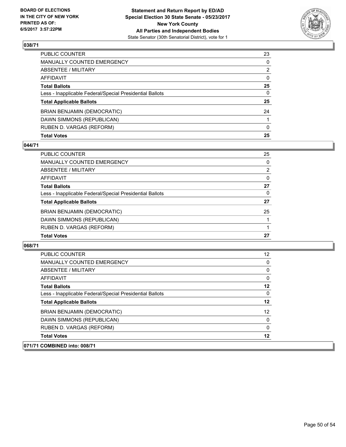

| <b>Total Votes</b>                                       | 25           |
|----------------------------------------------------------|--------------|
| RUBEN D. VARGAS (REFORM)                                 | $\mathbf{0}$ |
| DAWN SIMMONS (REPUBLICAN)                                |              |
| BRIAN BENJAMIN (DEMOCRATIC)                              | 24           |
| <b>Total Applicable Ballots</b>                          | 25           |
| Less - Inapplicable Federal/Special Presidential Ballots | 0            |
| <b>Total Ballots</b>                                     | 25           |
| <b>AFFIDAVIT</b>                                         | $\mathbf{0}$ |
| <b>ABSENTEE / MILITARY</b>                               | 2            |
| <b>MANUALLY COUNTED EMERGENCY</b>                        | 0            |
| PUBLIC COUNTER                                           | 23           |

# **044/71**

| <b>PUBLIC COUNTER</b>                                    | 25 |
|----------------------------------------------------------|----|
| MANUALLY COUNTED EMERGENCY                               | 0  |
| ABSENTEE / MILITARY                                      | 2  |
| <b>AFFIDAVIT</b>                                         | 0  |
| <b>Total Ballots</b>                                     | 27 |
| Less - Inapplicable Federal/Special Presidential Ballots | 0  |
| <b>Total Applicable Ballots</b>                          | 27 |
| BRIAN BENJAMIN (DEMOCRATIC)                              | 25 |
| DAWN SIMMONS (REPUBLICAN)                                |    |
| RUBEN D. VARGAS (REFORM)                                 |    |
| <b>Total Votes</b>                                       | 27 |
|                                                          |    |

| <b>PUBLIC COUNTER</b>                                    | 12 |
|----------------------------------------------------------|----|
| <b>MANUALLY COUNTED EMERGENCY</b>                        | 0  |
| ABSENTEE / MILITARY                                      | 0  |
| AFFIDAVIT                                                | 0  |
| <b>Total Ballots</b>                                     | 12 |
| Less - Inapplicable Federal/Special Presidential Ballots | 0  |
| <b>Total Applicable Ballots</b>                          | 12 |
| <b>BRIAN BENJAMIN (DEMOCRATIC)</b>                       | 12 |
| DAWN SIMMONS (REPUBLICAN)                                | 0  |
| RUBEN D. VARGAS (REFORM)                                 | 0  |
| <b>Total Votes</b>                                       | 12 |
| 071/71 COMBINED into: 008/71                             |    |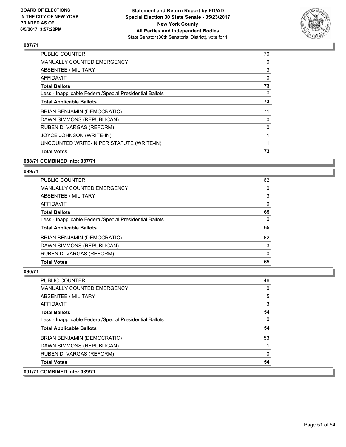

| <b>PUBLIC COUNTER</b>                                    | 70 |
|----------------------------------------------------------|----|
| <b>MANUALLY COUNTED EMERGENCY</b>                        | 0  |
| ABSENTEE / MILITARY                                      | 3  |
| <b>AFFIDAVIT</b>                                         | 0  |
| <b>Total Ballots</b>                                     | 73 |
| Less - Inapplicable Federal/Special Presidential Ballots | 0  |
| <b>Total Applicable Ballots</b>                          | 73 |
| BRIAN BENJAMIN (DEMOCRATIC)                              | 71 |
| DAWN SIMMONS (REPUBLICAN)                                | 0  |
| RUBEN D. VARGAS (REFORM)                                 | 0  |
| JOYCE JOHNSON (WRITE-IN)                                 |    |
| UNCOUNTED WRITE-IN PER STATUTE (WRITE-IN)                |    |
| <b>Total Votes</b>                                       | 73 |

# **088/71 COMBINED into: 087/71**

# **089/71**

| <b>PUBLIC COUNTER</b>                                    | 62 |
|----------------------------------------------------------|----|
| MANUALLY COUNTED EMERGENCY                               | 0  |
| ABSENTEE / MILITARY                                      | 3  |
| AFFIDAVIT                                                | 0  |
| <b>Total Ballots</b>                                     | 65 |
| Less - Inapplicable Federal/Special Presidential Ballots | 0  |
| <b>Total Applicable Ballots</b>                          | 65 |
| BRIAN BENJAMIN (DEMOCRATIC)                              | 62 |
| DAWN SIMMONS (REPUBLICAN)                                | 3  |
| RUBEN D. VARGAS (REFORM)                                 | 0  |
| <b>Total Votes</b>                                       | 65 |

| <b>PUBLIC COUNTER</b>                                    | 46 |
|----------------------------------------------------------|----|
| <b>MANUALLY COUNTED EMERGENCY</b>                        | 0  |
| ABSENTEE / MILITARY                                      | 5  |
| AFFIDAVIT                                                | 3  |
| <b>Total Ballots</b>                                     | 54 |
| Less - Inapplicable Federal/Special Presidential Ballots | 0  |
| <b>Total Applicable Ballots</b>                          | 54 |
| BRIAN BENJAMIN (DEMOCRATIC)                              | 53 |
| DAWN SIMMONS (REPUBLICAN)                                |    |
| RUBEN D. VARGAS (REFORM)                                 | 0  |
| <b>Total Votes</b>                                       | 54 |
| 091/71 COMBINED into: 089/71                             |    |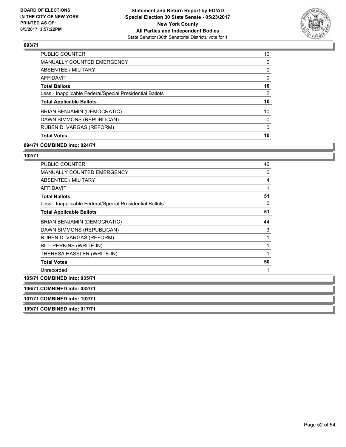

| 10       |
|----------|
| 0        |
| 0        |
| 0        |
| 10       |
| 0        |
| 10       |
| 10       |
| $\Omega$ |
| 0        |
| 10       |
|          |

### **094/71 COMBINED into: 024/71**

**107/71 COMBINED into: 102/71 109/71 COMBINED into: 017/71**

| <b>PUBLIC COUNTER</b>                                    | 46 |
|----------------------------------------------------------|----|
| MANUALLY COUNTED EMERGENCY                               | 0  |
| ABSENTEE / MILITARY                                      | 4  |
| <b>AFFIDAVIT</b>                                         | 1  |
| <b>Total Ballots</b>                                     | 51 |
| Less - Inapplicable Federal/Special Presidential Ballots | 0  |
| <b>Total Applicable Ballots</b>                          | 51 |
| BRIAN BENJAMIN (DEMOCRATIC)                              | 44 |
| DAWN SIMMONS (REPUBLICAN)                                | 3  |
| RUBEN D. VARGAS (REFORM)                                 | 1  |
| BILL PERKINS (WRITE-IN)                                  | 1  |
| THERESA HASSLER (WRITE-IN)                               | 1  |
| <b>Total Votes</b>                                       | 50 |
| Unrecorded                                               |    |
| 105/71 COMBINED into: 035/71                             |    |
| 106/71 COMBINED into: 032/71                             |    |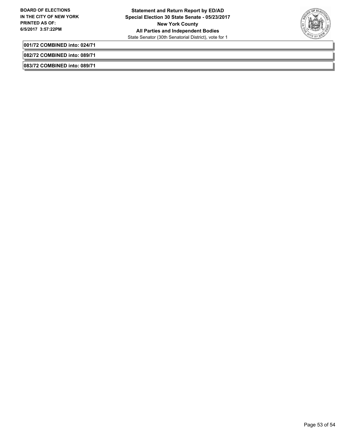

**001/72 COMBINED into: 024/71**

**082/72 COMBINED into: 089/71**

**083/72 COMBINED into: 089/71**